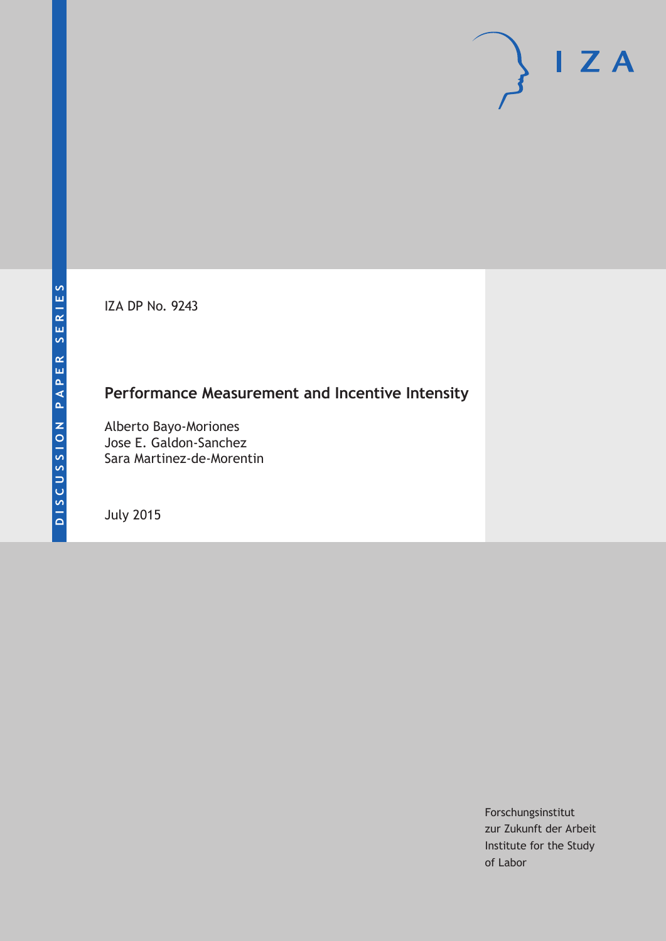IZA DP No. 9243

# **Performance Measurement and Incentive Intensity**

Alberto Bayo-Moriones Jose E. Galdon-Sanchez Sara Martinez-de-Morentin

July 2015

Forschungsinstitut zur Zukunft der Arbeit Institute for the Study of Labor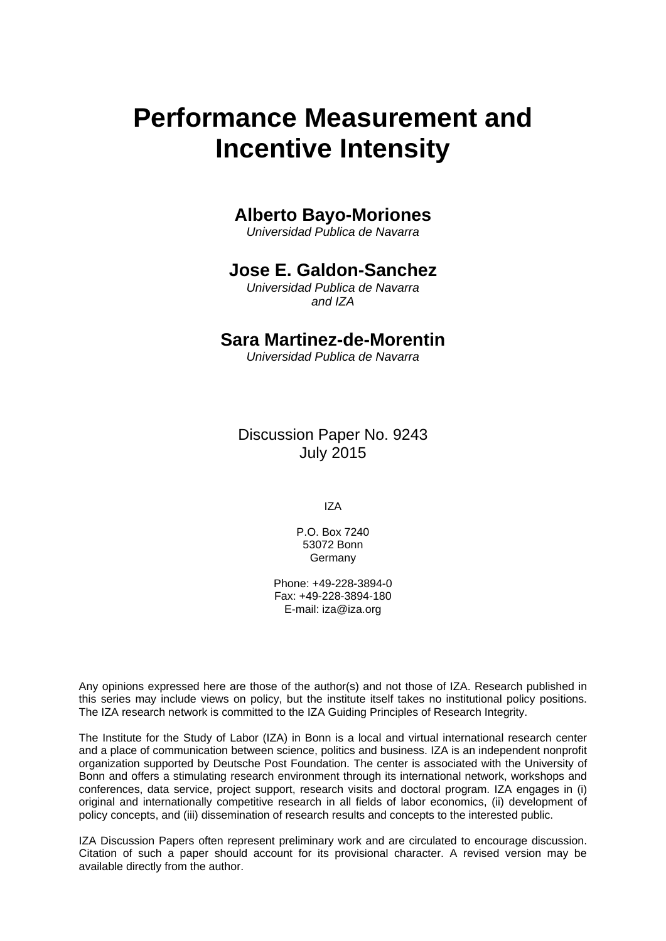# **Performance Measurement and Incentive Intensity**

### **Alberto Bayo-Moriones**

*Universidad Publica de Navarra* 

### **Jose E. Galdon-Sanchez**

*Universidad Publica de Navarra and IZA* 

### **Sara Martinez-de-Morentin**

*Universidad Publica de Navarra*

Discussion Paper No. 9243 July 2015

IZA

P.O. Box 7240 53072 Bonn Germany

Phone: +49-228-3894-0 Fax: +49-228-3894-180 E-mail: iza@iza.org

Any opinions expressed here are those of the author(s) and not those of IZA. Research published in this series may include views on policy, but the institute itself takes no institutional policy positions. The IZA research network is committed to the IZA Guiding Principles of Research Integrity.

The Institute for the Study of Labor (IZA) in Bonn is a local and virtual international research center and a place of communication between science, politics and business. IZA is an independent nonprofit organization supported by Deutsche Post Foundation. The center is associated with the University of Bonn and offers a stimulating research environment through its international network, workshops and conferences, data service, project support, research visits and doctoral program. IZA engages in (i) original and internationally competitive research in all fields of labor economics, (ii) development of policy concepts, and (iii) dissemination of research results and concepts to the interested public.

IZA Discussion Papers often represent preliminary work and are circulated to encourage discussion. Citation of such a paper should account for its provisional character. A revised version may be available directly from the author.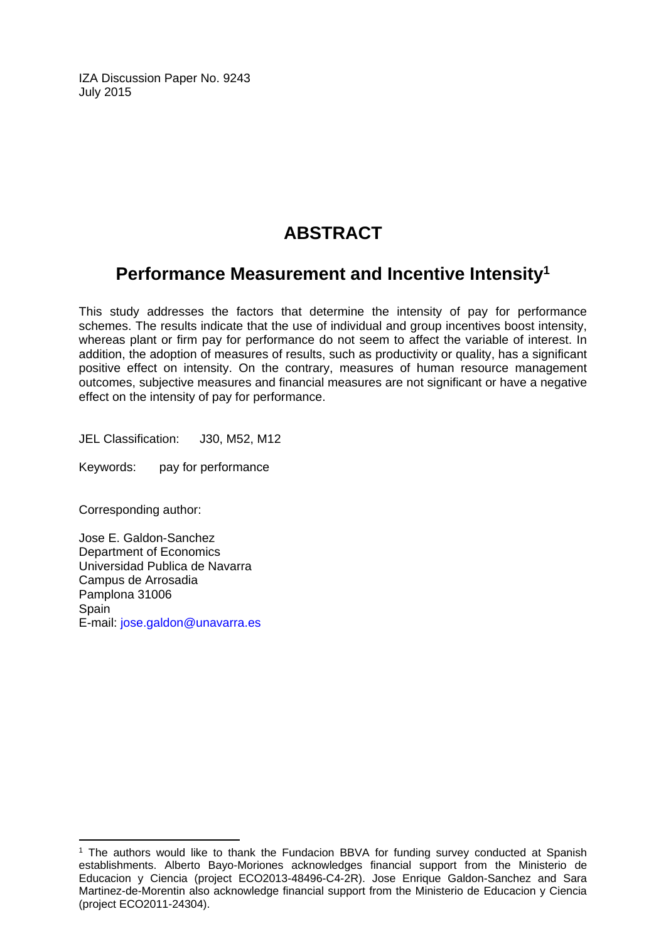IZA Discussion Paper No. 9243 July 2015

# **ABSTRACT**

## **Performance Measurement and Incentive Intensity1**

This study addresses the factors that determine the intensity of pay for performance schemes. The results indicate that the use of individual and group incentives boost intensity, whereas plant or firm pay for performance do not seem to affect the variable of interest. In addition, the adoption of measures of results, such as productivity or quality, has a significant positive effect on intensity. On the contrary, measures of human resource management outcomes, subjective measures and financial measures are not significant or have a negative effect on the intensity of pay for performance.

JEL Classification: J30, M52, M12

Keywords: pay for performance

Corresponding author:

 $\overline{\phantom{a}}$ 

Jose E. Galdon-Sanchez Department of Economics Universidad Publica de Navarra Campus de Arrosadia Pamplona 31006 **Spain** E-mail: jose.galdon@unavarra.es

<sup>&</sup>lt;sup>1</sup> The authors would like to thank the Fundacion BBVA for funding survey conducted at Spanish establishments. Alberto Bayo-Moriones acknowledges financial support from the Ministerio de Educacion y Ciencia (project ECO2013-48496-C4-2R). Jose Enrique Galdon-Sanchez and Sara Martinez-de-Morentin also acknowledge financial support from the Ministerio de Educacion y Ciencia (project ECO2011-24304).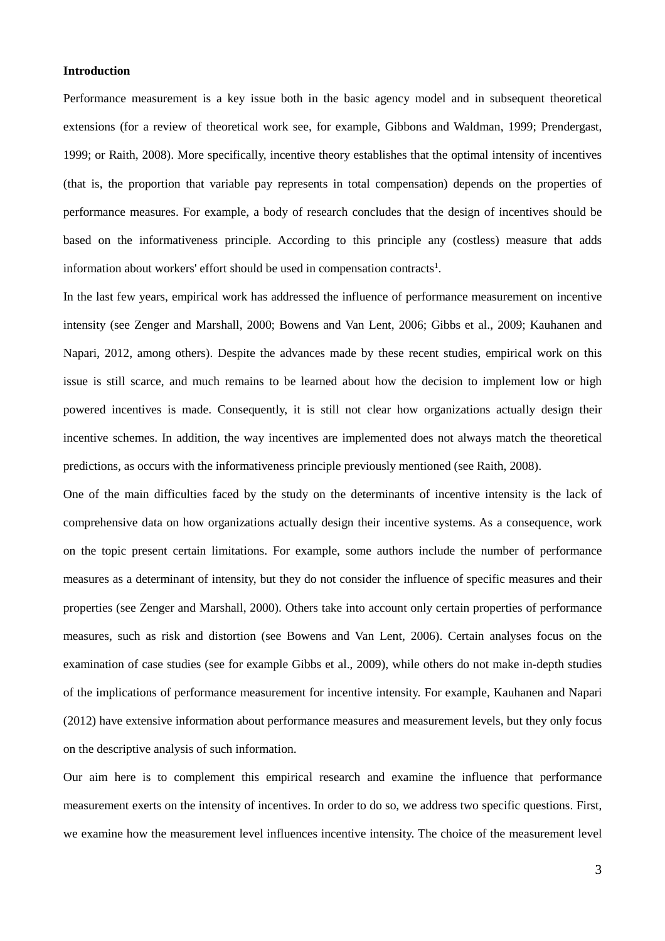#### **Introduction**

Performance measurement is a key issue both in the basic agency model and in subsequent theoretical extensions (for a review of theoretical work see, for example, Gibbons and Waldman, 1999; Prendergast, 1999; or Raith, 2008). More specifically, incentive theory establishes that the optimal intensity of incentives (that is, the proportion that variable pay represents in total compensation) depends on the properties of performance measures. For example, a body of research concludes that the design of incentives should be based on the informativeness principle. According to this principle any (costless) measure that adds information about workers' effort should be used in compensation contracts<sup>1</sup>.

In the last few years, empirical work has addressed the influence of performance measurement on incentive intensity (see Zenger and Marshall, 2000; Bowens and Van Lent, 2006; Gibbs et al., 2009; Kauhanen and Napari, 2012, among others). Despite the advances made by these recent studies, empirical work on this issue is still scarce, and much remains to be learned about how the decision to implement low or high powered incentives is made. Consequently, it is still not clear how organizations actually design their incentive schemes. In addition, the way incentives are implemented does not always match the theoretical predictions, as occurs with the informativeness principle previously mentioned (see Raith, 2008).

One of the main difficulties faced by the study on the determinants of incentive intensity is the lack of comprehensive data on how organizations actually design their incentive systems. As a consequence, work on the topic present certain limitations. For example, some authors include the number of performance measures as a determinant of intensity, but they do not consider the influence of specific measures and their properties (see Zenger and Marshall, 2000). Others take into account only certain properties of performance measures, such as risk and distortion (see Bowens and Van Lent, 2006). Certain analyses focus on the examination of case studies (see for example Gibbs et al., 2009), while others do not make in-depth studies of the implications of performance measurement for incentive intensity. For example, Kauhanen and Napari (2012) have extensive information about performance measures and measurement levels, but they only focus on the descriptive analysis of such information.

Our aim here is to complement this empirical research and examine the influence that performance measurement exerts on the intensity of incentives. In order to do so, we address two specific questions. First, we examine how the measurement level influences incentive intensity. The choice of the measurement level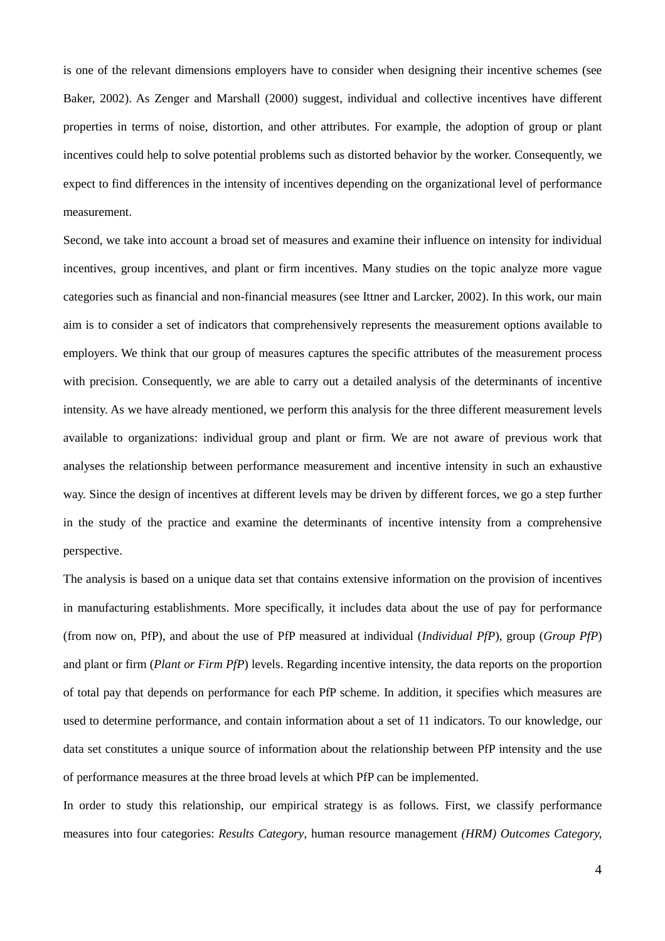is one of the relevant dimensions employers have to consider when designing their incentive schemes (see Baker, 2002). As Zenger and Marshall (2000) suggest, individual and collective incentives have different properties in terms of noise, distortion, and other attributes. For example, the adoption of group or plant incentives could help to solve potential problems such as distorted behavior by the worker. Consequently, we expect to find differences in the intensity of incentives depending on the organizational level of performance measurement.

Second, we take into account a broad set of measures and examine their influence on intensity for individual incentives, group incentives, and plant or firm incentives. Many studies on the topic analyze more vague categories such as financial and non-financial measures (see Ittner and Larcker, 2002). In this work, our main aim is to consider a set of indicators that comprehensively represents the measurement options available to employers. We think that our group of measures captures the specific attributes of the measurement process with precision. Consequently, we are able to carry out a detailed analysis of the determinants of incentive intensity. As we have already mentioned, we perform this analysis for the three different measurement levels available to organizations: individual group and plant or firm. We are not aware of previous work that analyses the relationship between performance measurement and incentive intensity in such an exhaustive way. Since the design of incentives at different levels may be driven by different forces, we go a step further in the study of the practice and examine the determinants of incentive intensity from a comprehensive perspective.

The analysis is based on a unique data set that contains extensive information on the provision of incentives in manufacturing establishments. More specifically, it includes data about the use of pay for performance (from now on, PfP), and about the use of PfP measured at individual (*Individual PfP*), group (*Group PfP*) and plant or firm (*Plant or Firm PfP*) levels. Regarding incentive intensity, the data reports on the proportion of total pay that depends on performance for each PfP scheme. In addition, it specifies which measures are used to determine performance, and contain information about a set of 11 indicators. To our knowledge, our data set constitutes a unique source of information about the relationship between PfP intensity and the use of performance measures at the three broad levels at which PfP can be implemented.

In order to study this relationship, our empirical strategy is as follows. First, we classify performance measures into four categories: *Results Category*, human resource management *(HRM) Outcomes Category,*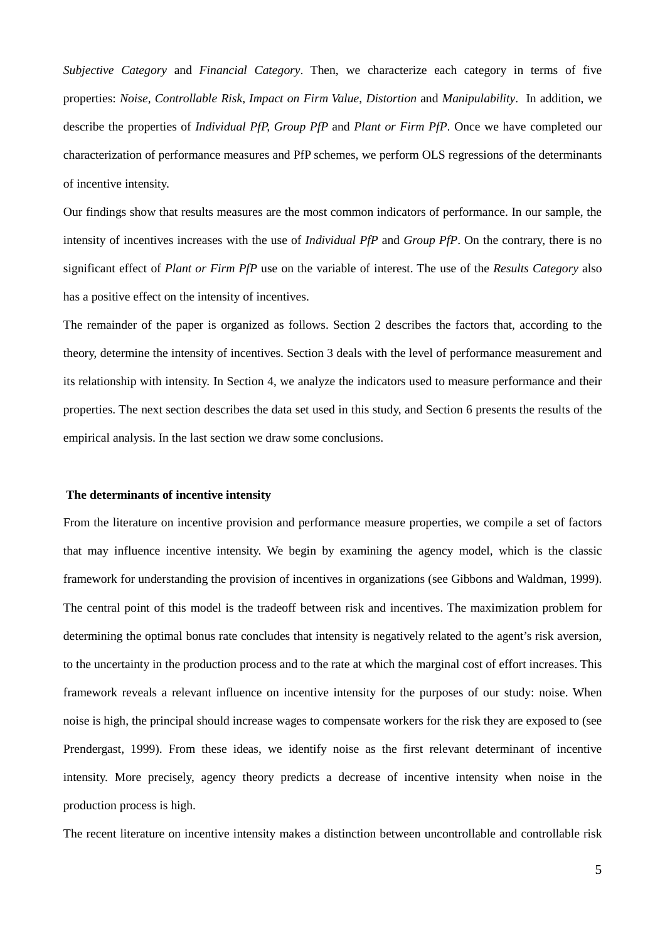*Subjective Category* and *Financial Category*. Then, we characterize each category in terms of five properties: *Noise, Controllable Risk*, *Impact on Firm Value*, *Distortion* and *Manipulability*. In addition, we describe the properties of *Individual PfP, Group PfP* and *Plant or Firm PfP*. Once we have completed our characterization of performance measures and PfP schemes, we perform OLS regressions of the determinants of incentive intensity.

Our findings show that results measures are the most common indicators of performance. In our sample, the intensity of incentives increases with the use of *Individual PfP* and *Group PfP*. On the contrary, there is no significant effect of *Plant or Firm PfP* use on the variable of interest. The use of the *Results Category* also has a positive effect on the intensity of incentives.

The remainder of the paper is organized as follows. Section 2 describes the factors that, according to the theory, determine the intensity of incentives. Section 3 deals with the level of performance measurement and its relationship with intensity. In Section 4, we analyze the indicators used to measure performance and their properties. The next section describes the data set used in this study, and Section 6 presents the results of the empirical analysis. In the last section we draw some conclusions.

#### **The determinants of incentive intensity**

From the literature on incentive provision and performance measure properties, we compile a set of factors that may influence incentive intensity. We begin by examining the agency model, which is the classic framework for understanding the provision of incentives in organizations (see Gibbons and Waldman, 1999). The central point of this model is the tradeoff between risk and incentives. The maximization problem for determining the optimal bonus rate concludes that intensity is negatively related to the agent's risk aversion, to the uncertainty in the production process and to the rate at which the marginal cost of effort increases. This framework reveals a relevant influence on incentive intensity for the purposes of our study: noise. When noise is high, the principal should increase wages to compensate workers for the risk they are exposed to (see Prendergast, 1999). From these ideas, we identify noise as the first relevant determinant of incentive intensity. More precisely, agency theory predicts a decrease of incentive intensity when noise in the production process is high.

The recent literature on incentive intensity makes a distinction between uncontrollable and controllable risk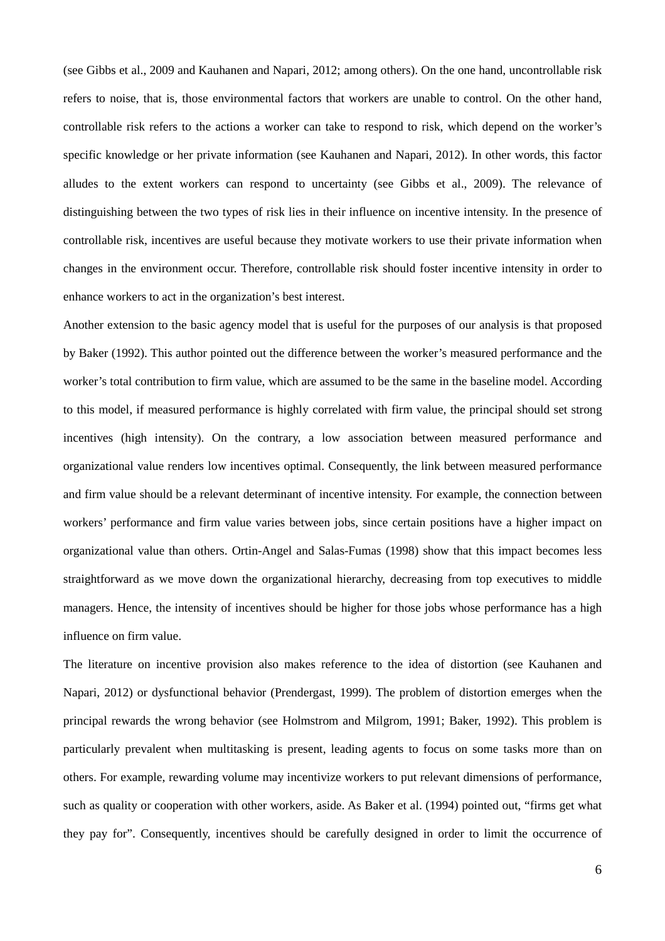(see Gibbs et al., 2009 and Kauhanen and Napari, 2012; among others). On the one hand, uncontrollable risk refers to noise, that is, those environmental factors that workers are unable to control. On the other hand, controllable risk refers to the actions a worker can take to respond to risk, which depend on the worker's specific knowledge or her private information (see Kauhanen and Napari, 2012). In other words, this factor alludes to the extent workers can respond to uncertainty (see Gibbs et al., 2009). The relevance of distinguishing between the two types of risk lies in their influence on incentive intensity. In the presence of controllable risk, incentives are useful because they motivate workers to use their private information when changes in the environment occur. Therefore, controllable risk should foster incentive intensity in order to enhance workers to act in the organization's best interest.

Another extension to the basic agency model that is useful for the purposes of our analysis is that proposed by Baker (1992). This author pointed out the difference between the worker's measured performance and the worker's total contribution to firm value, which are assumed to be the same in the baseline model. According to this model, if measured performance is highly correlated with firm value, the principal should set strong incentives (high intensity). On the contrary, a low association between measured performance and organizational value renders low incentives optimal. Consequently, the link between measured performance and firm value should be a relevant determinant of incentive intensity. For example, the connection between workers' performance and firm value varies between jobs, since certain positions have a higher impact on organizational value than others. Ortin-Angel and Salas-Fumas (1998) show that this impact becomes less straightforward as we move down the organizational hierarchy, decreasing from top executives to middle managers. Hence, the intensity of incentives should be higher for those jobs whose performance has a high influence on firm value.

The literature on incentive provision also makes reference to the idea of distortion (see Kauhanen and Napari, 2012) or dysfunctional behavior (Prendergast, 1999). The problem of distortion emerges when the principal rewards the wrong behavior (see Holmstrom and Milgrom, 1991; Baker, 1992). This problem is particularly prevalent when multitasking is present, leading agents to focus on some tasks more than on others. For example, rewarding volume may incentivize workers to put relevant dimensions of performance, such as quality or cooperation with other workers, aside. As Baker et al. (1994) pointed out, "firms get what they pay for". Consequently, incentives should be carefully designed in order to limit the occurrence of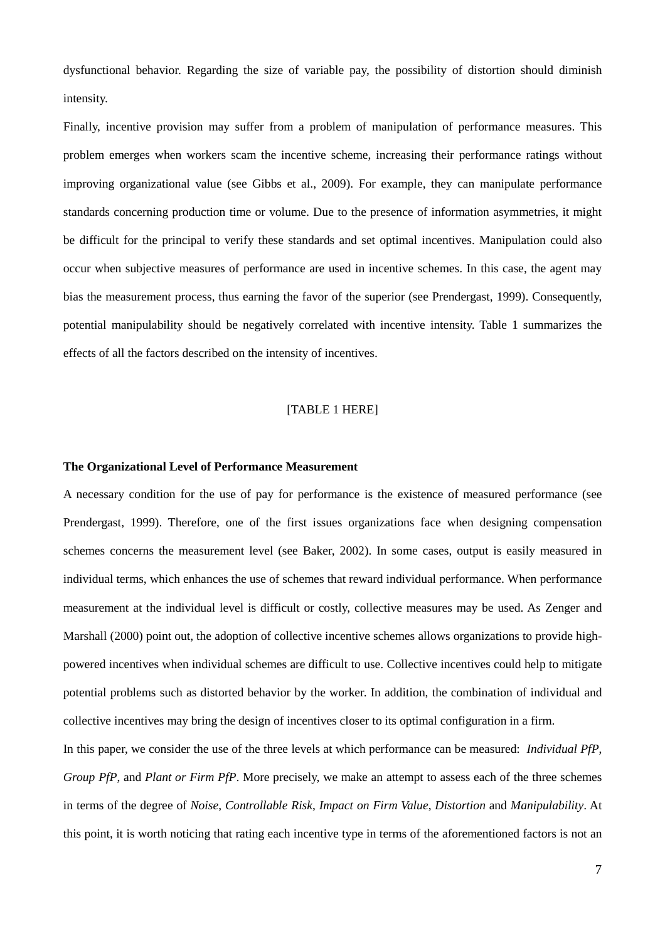dysfunctional behavior. Regarding the size of variable pay, the possibility of distortion should diminish intensity.

Finally, incentive provision may suffer from a problem of manipulation of performance measures. This problem emerges when workers scam the incentive scheme, increasing their performance ratings without improving organizational value (see Gibbs et al., 2009). For example, they can manipulate performance standards concerning production time or volume. Due to the presence of information asymmetries, it might be difficult for the principal to verify these standards and set optimal incentives. Manipulation could also occur when subjective measures of performance are used in incentive schemes. In this case, the agent may bias the measurement process, thus earning the favor of the superior (see Prendergast, 1999). Consequently, potential manipulability should be negatively correlated with incentive intensity. Table 1 summarizes the effects of all the factors described on the intensity of incentives.

#### [TABLE 1 HERE]

#### **The Organizational Level of Performance Measurement**

A necessary condition for the use of pay for performance is the existence of measured performance (see Prendergast, 1999). Therefore, one of the first issues organizations face when designing compensation schemes concerns the measurement level (see Baker, 2002). In some cases, output is easily measured in individual terms, which enhances the use of schemes that reward individual performance. When performance measurement at the individual level is difficult or costly, collective measures may be used. As Zenger and Marshall (2000) point out, the adoption of collective incentive schemes allows organizations to provide highpowered incentives when individual schemes are difficult to use. Collective incentives could help to mitigate potential problems such as distorted behavior by the worker. In addition, the combination of individual and collective incentives may bring the design of incentives closer to its optimal configuration in a firm.

In this paper, we consider the use of the three levels at which performance can be measured: *Individual PfP*, *Group PfP*, and *Plant or Firm PfP*. More precisely, we make an attempt to assess each of the three schemes in terms of the degree of *Noise*, *Controllable Risk*, *Impact on Firm Value*, *Distortion* and *Manipulability*. At this point, it is worth noticing that rating each incentive type in terms of the aforementioned factors is not an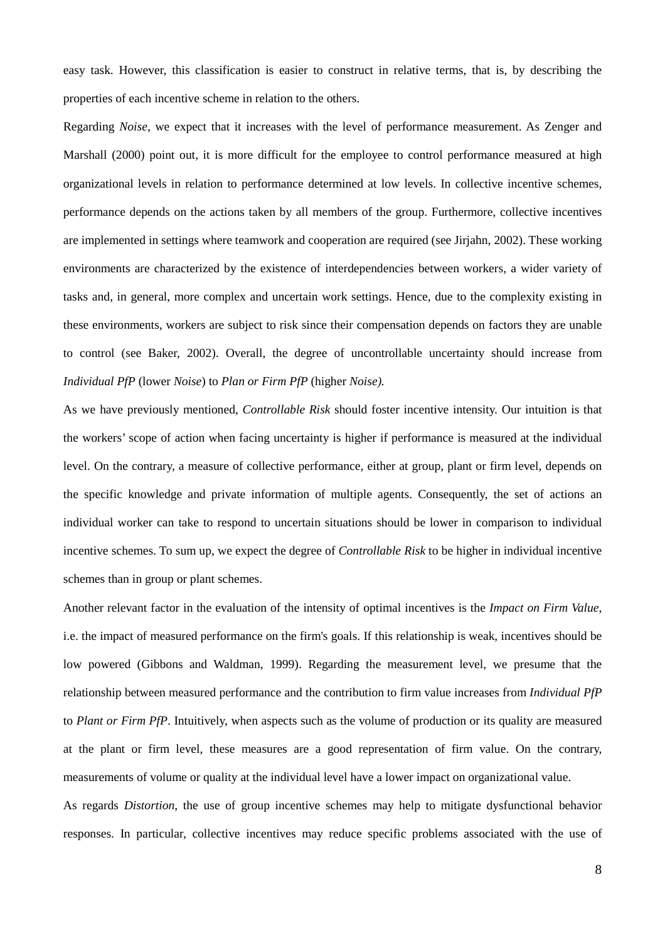easy task. However, this classification is easier to construct in relative terms, that is, by describing the properties of each incentive scheme in relation to the others.

Regarding *Noise*, we expect that it increases with the level of performance measurement. As Zenger and Marshall (2000) point out, it is more difficult for the employee to control performance measured at high organizational levels in relation to performance determined at low levels. In collective incentive schemes, performance depends on the actions taken by all members of the group. Furthermore, collective incentives are implemented in settings where teamwork and cooperation are required (see Jirjahn, 2002). These working environments are characterized by the existence of interdependencies between workers, a wider variety of tasks and, in general, more complex and uncertain work settings. Hence, due to the complexity existing in these environments, workers are subject to risk since their compensation depends on factors they are unable to control (see Baker, 2002). Overall, the degree of uncontrollable uncertainty should increase from *Individual PfP* (lower *Noise*) to *Plan or Firm PfP* (higher *Noise).*

As we have previously mentioned, *Controllable Risk* should foster incentive intensity. Our intuition is that the workers' scope of action when facing uncertainty is higher if performance is measured at the individual level. On the contrary, a measure of collective performance, either at group, plant or firm level, depends on the specific knowledge and private information of multiple agents. Consequently, the set of actions an individual worker can take to respond to uncertain situations should be lower in comparison to individual incentive schemes. To sum up, we expect the degree of *Controllable Risk* to be higher in individual incentive schemes than in group or plant schemes.

Another relevant factor in the evaluation of the intensity of optimal incentives is the *Impact on Firm Value*, i.e. the impact of measured performance on the firm's goals. If this relationship is weak, incentives should be low powered (Gibbons and Waldman, 1999). Regarding the measurement level, we presume that the relationship between measured performance and the contribution to firm value increases from *Individual PfP* to *Plant or Firm PfP*. Intuitively, when aspects such as the volume of production or its quality are measured at the plant or firm level, these measures are a good representation of firm value. On the contrary, measurements of volume or quality at the individual level have a lower impact on organizational value.

As regards *Distortion*, the use of group incentive schemes may help to mitigate dysfunctional behavior responses. In particular, collective incentives may reduce specific problems associated with the use of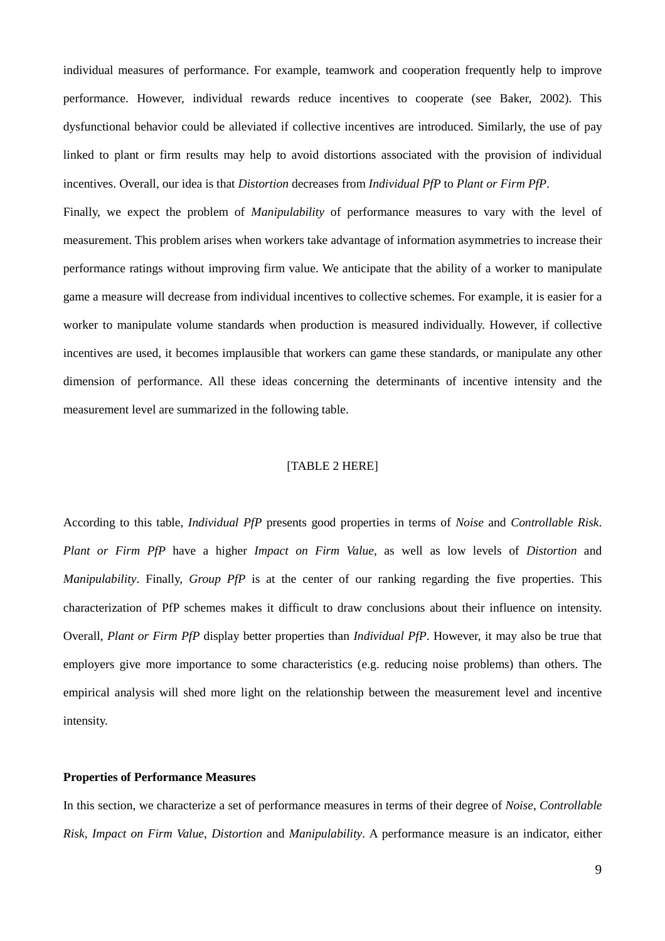individual measures of performance. For example, teamwork and cooperation frequently help to improve performance. However, individual rewards reduce incentives to cooperate (see Baker, 2002). This dysfunctional behavior could be alleviated if collective incentives are introduced. Similarly, the use of pay linked to plant or firm results may help to avoid distortions associated with the provision of individual incentives. Overall, our idea is that *Distortion* decreases from *Individual PfP* to *Plant or Firm PfP*.

Finally, we expect the problem of *Manipulability* of performance measures to vary with the level of measurement. This problem arises when workers take advantage of information asymmetries to increase their performance ratings without improving firm value. We anticipate that the ability of a worker to manipulate game a measure will decrease from individual incentives to collective schemes. For example, it is easier for a worker to manipulate volume standards when production is measured individually. However, if collective incentives are used, it becomes implausible that workers can game these standards, or manipulate any other dimension of performance. All these ideas concerning the determinants of incentive intensity and the measurement level are summarized in the following table.

#### [TABLE 2 HERE]

According to this table, *Individual PfP* presents good properties in terms of *Noise* and *Controllable Risk*. *Plant or Firm PfP* have a higher *Impact on Firm Value*, as well as low levels of *Distortion* and *Manipulability*. Finally, *Group PfP* is at the center of our ranking regarding the five properties. This characterization of PfP schemes makes it difficult to draw conclusions about their influence on intensity. Overall, *Plant or Firm PfP* display better properties than *Individual PfP*. However, it may also be true that employers give more importance to some characteristics (e.g. reducing noise problems) than others. The empirical analysis will shed more light on the relationship between the measurement level and incentive intensity.

#### **Properties of Performance Measures**

In this section, we characterize a set of performance measures in terms of their degree of *Noise*, *Controllable Risk*, *Impact on Firm Value*, *Distortion* and *Manipulability*. A performance measure is an indicator, either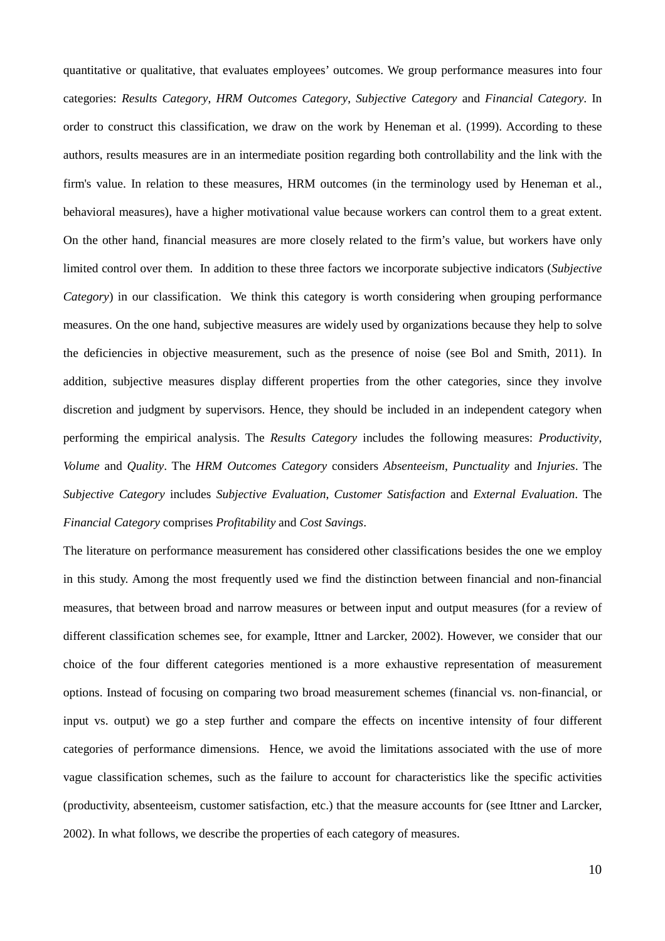quantitative or qualitative, that evaluates employees' outcomes. We group performance measures into four categories: *Results Category*, *HRM Outcomes Category*, *Subjective Category* and *Financial Category*. In order to construct this classification, we draw on the work by Heneman et al. (1999). According to these authors, results measures are in an intermediate position regarding both controllability and the link with the firm's value. In relation to these measures, HRM outcomes (in the terminology used by Heneman et al., behavioral measures), have a higher motivational value because workers can control them to a great extent. On the other hand, financial measures are more closely related to the firm's value, but workers have only limited control over them. In addition to these three factors we incorporate subjective indicators (*Subjective Category*) in our classification. We think this category is worth considering when grouping performance measures. On the one hand, subjective measures are widely used by organizations because they help to solve the deficiencies in objective measurement, such as the presence of noise (see Bol and Smith, 2011). In addition, subjective measures display different properties from the other categories, since they involve discretion and judgment by supervisors. Hence, they should be included in an independent category when performing the empirical analysis. The *Results Category* includes the following measures: *Productivity*, *Volume* and *Quality*. The *HRM Outcomes Category* considers *Absenteeism*, *Punctuality* and *Injuries*. The *Subjective Category* includes *Subjective Evaluation*, *Customer Satisfaction* and *External Evaluation*. The *Financial Category* comprises *Profitability* and *Cost Savings*.

The literature on performance measurement has considered other classifications besides the one we employ in this study. Among the most frequently used we find the distinction between financial and non-financial measures, that between broad and narrow measures or between input and output measures (for a review of different classification schemes see, for example, Ittner and Larcker, 2002). However, we consider that our choice of the four different categories mentioned is a more exhaustive representation of measurement options. Instead of focusing on comparing two broad measurement schemes (financial vs. non-financial, or input vs. output) we go a step further and compare the effects on incentive intensity of four different categories of performance dimensions. Hence, we avoid the limitations associated with the use of more vague classification schemes, such as the failure to account for characteristics like the specific activities (productivity, absenteeism, customer satisfaction, etc.) that the measure accounts for (see Ittner and Larcker, 2002). In what follows, we describe the properties of each category of measures.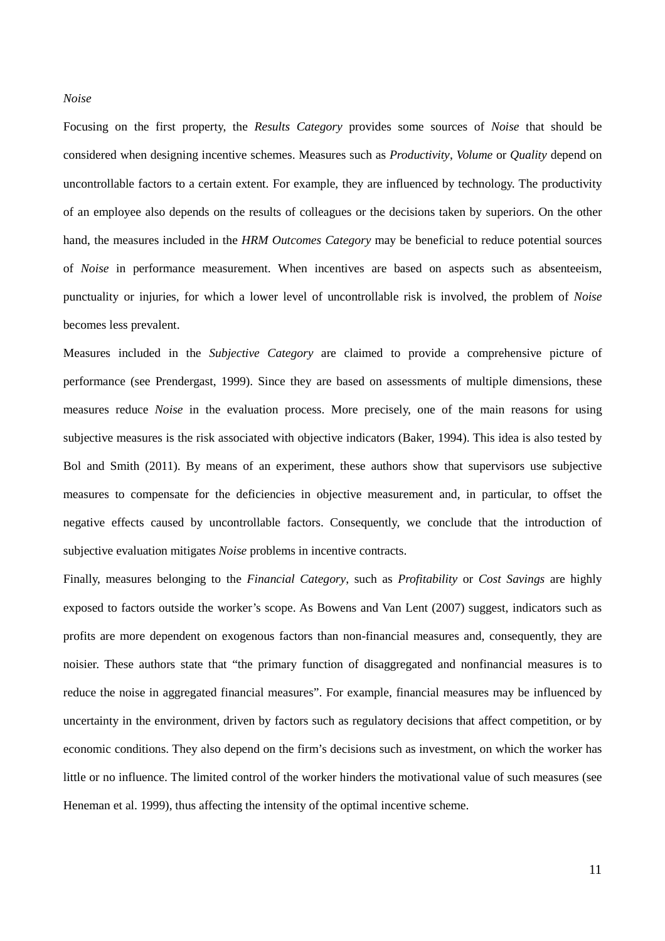#### *Noise*

Focusing on the first property, the *Results Category* provides some sources of *Noise* that should be considered when designing incentive schemes. Measures such as *Productivity*, *Volume* or *Quality* depend on uncontrollable factors to a certain extent. For example, they are influenced by technology. The productivity of an employee also depends on the results of colleagues or the decisions taken by superiors. On the other hand, the measures included in the *HRM Outcomes Category* may be beneficial to reduce potential sources of *Noise* in performance measurement. When incentives are based on aspects such as absenteeism, punctuality or injuries, for which a lower level of uncontrollable risk is involved, the problem of *Noise* becomes less prevalent.

Measures included in the *Subjective Category* are claimed to provide a comprehensive picture of performance (see Prendergast, 1999). Since they are based on assessments of multiple dimensions, these measures reduce *Noise* in the evaluation process. More precisely, one of the main reasons for using subjective measures is the risk associated with objective indicators (Baker, 1994). This idea is also tested by Bol and Smith (2011). By means of an experiment, these authors show that supervisors use subjective measures to compensate for the deficiencies in objective measurement and, in particular, to offset the negative effects caused by uncontrollable factors. Consequently, we conclude that the introduction of subjective evaluation mitigates *Noise* problems in incentive contracts.

Finally, measures belonging to the *Financial Category*, such as *Profitability* or *Cost Savings* are highly exposed to factors outside the worker's scope. As Bowens and Van Lent (2007) suggest, indicators such as profits are more dependent on exogenous factors than non-financial measures and, consequently, they are noisier. These authors state that "the primary function of disaggregated and nonfinancial measures is to reduce the noise in aggregated financial measures". For example, financial measures may be influenced by uncertainty in the environment, driven by factors such as regulatory decisions that affect competition, or by economic conditions. They also depend on the firm's decisions such as investment, on which the worker has little or no influence. The limited control of the worker hinders the motivational value of such measures (see Heneman et al. 1999), thus affecting the intensity of the optimal incentive scheme.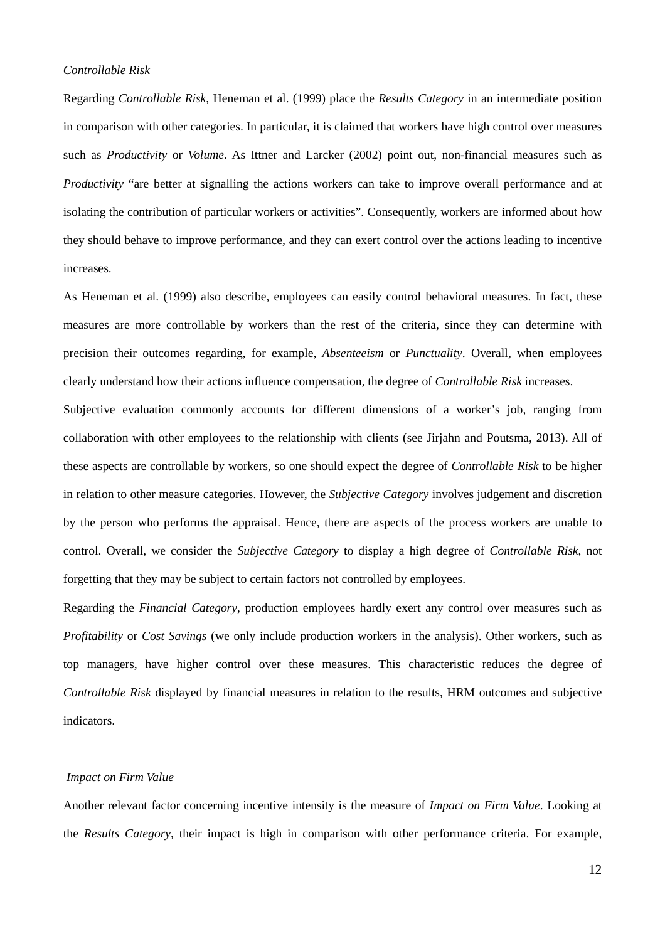#### *Controllable Risk*

Regarding *Controllable Risk*, Heneman et al. (1999) place the *Results Category* in an intermediate position in comparison with other categories. In particular, it is claimed that workers have high control over measures such as *Productivity* or *Volume*. As Ittner and Larcker (2002) point out, non-financial measures such as *Productivity* "are better at signalling the actions workers can take to improve overall performance and at isolating the contribution of particular workers or activities". Consequently, workers are informed about how they should behave to improve performance, and they can exert control over the actions leading to incentive increases.

As Heneman et al. (1999) also describe, employees can easily control behavioral measures. In fact, these measures are more controllable by workers than the rest of the criteria, since they can determine with precision their outcomes regarding, for example, *Absenteeism* or *Punctuality*. Overall, when employees clearly understand how their actions influence compensation, the degree of *Controllable Risk* increases.

Subjective evaluation commonly accounts for different dimensions of a worker's job, ranging from collaboration with other employees to the relationship with clients (see Jirjahn and Poutsma, 2013). All of these aspects are controllable by workers, so one should expect the degree of *Controllable Risk* to be higher in relation to other measure categories. However, the *Subjective Category* involves judgement and discretion by the person who performs the appraisal. Hence, there are aspects of the process workers are unable to control. Overall, we consider the *Subjective Category* to display a high degree of *Controllable Risk*, not forgetting that they may be subject to certain factors not controlled by employees.

Regarding the *Financial Category*, production employees hardly exert any control over measures such as *Profitability* or *Cost Savings* (we only include production workers in the analysis). Other workers, such as top managers, have higher control over these measures. This characteristic reduces the degree of *Controllable Risk* displayed by financial measures in relation to the results, HRM outcomes and subjective indicators.

#### *Impact on Firm Value*

Another relevant factor concerning incentive intensity is the measure of *Impact on Firm Value*. Looking at the *Results Category*, their impact is high in comparison with other performance criteria. For example,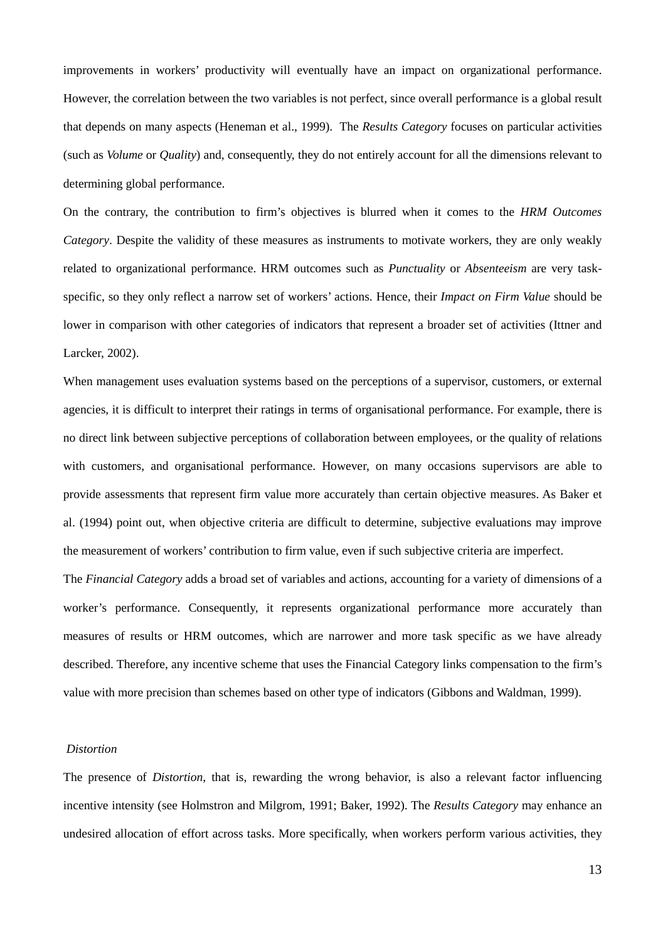improvements in workers' productivity will eventually have an impact on organizational performance. However, the correlation between the two variables is not perfect, since overall performance is a global result that depends on many aspects (Heneman et al., 1999). The *Results Category* focuses on particular activities (such as *Volume* or *Quality*) and, consequently, they do not entirely account for all the dimensions relevant to determining global performance.

On the contrary, the contribution to firm's objectives is blurred when it comes to the *HRM Outcomes Category*. Despite the validity of these measures as instruments to motivate workers, they are only weakly related to organizational performance. HRM outcomes such as *Punctuality* or *Absenteeism* are very taskspecific, so they only reflect a narrow set of workers' actions. Hence, their *Impact on Firm Value* should be lower in comparison with other categories of indicators that represent a broader set of activities (Ittner and Larcker, 2002).

When management uses evaluation systems based on the perceptions of a supervisor, customers, or external agencies, it is difficult to interpret their ratings in terms of organisational performance. For example, there is no direct link between subjective perceptions of collaboration between employees, or the quality of relations with customers, and organisational performance. However, on many occasions supervisors are able to provide assessments that represent firm value more accurately than certain objective measures. As Baker et al. (1994) point out, when objective criteria are difficult to determine, subjective evaluations may improve the measurement of workers' contribution to firm value, even if such subjective criteria are imperfect.

The *Financial Category* adds a broad set of variables and actions, accounting for a variety of dimensions of a worker's performance. Consequently, it represents organizational performance more accurately than measures of results or HRM outcomes, which are narrower and more task specific as we have already described. Therefore, any incentive scheme that uses the Financial Category links compensation to the firm's value with more precision than schemes based on other type of indicators (Gibbons and Waldman, 1999).

#### *Distortion*

The presence of *Distortion*, that is, rewarding the wrong behavior, is also a relevant factor influencing incentive intensity (see Holmstron and Milgrom, 1991; Baker, 1992). The *Results Category* may enhance an undesired allocation of effort across tasks. More specifically, when workers perform various activities, they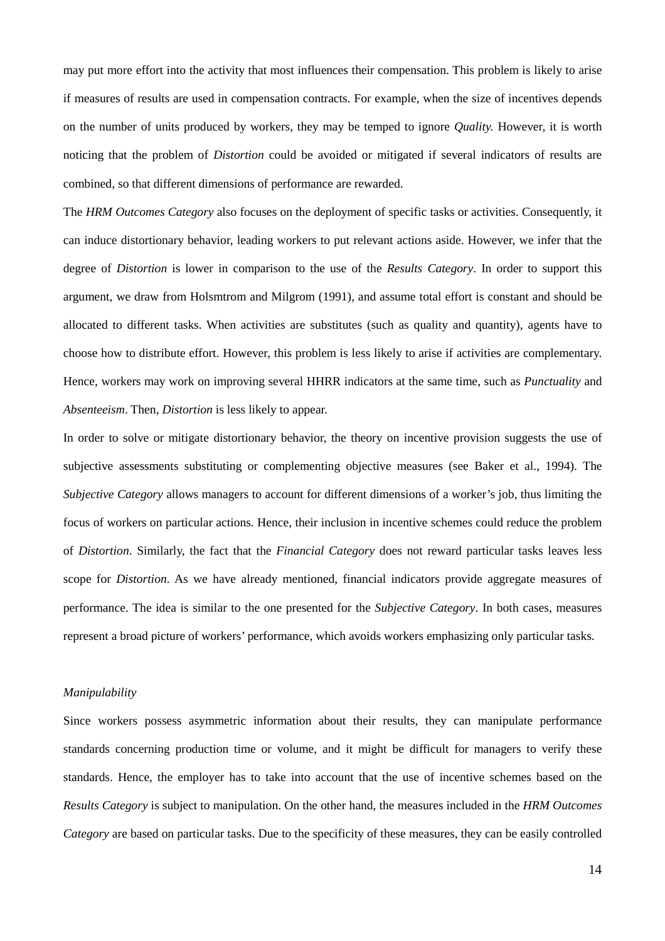may put more effort into the activity that most influences their compensation. This problem is likely to arise if measures of results are used in compensation contracts. For example, when the size of incentives depends on the number of units produced by workers, they may be temped to ignore *Quality.* However, it is worth noticing that the problem of *Distortion* could be avoided or mitigated if several indicators of results are combined, so that different dimensions of performance are rewarded.

The *HRM Outcomes Category* also focuses on the deployment of specific tasks or activities. Consequently, it can induce distortionary behavior, leading workers to put relevant actions aside. However, we infer that the degree of *Distortion* is lower in comparison to the use of the *Results Category*. In order to support this argument, we draw from Holsmtrom and Milgrom (1991), and assume total effort is constant and should be allocated to different tasks. When activities are substitutes (such as quality and quantity), agents have to choose how to distribute effort. However, this problem is less likely to arise if activities are complementary. Hence, workers may work on improving several HHRR indicators at the same time, such as *Punctuality* and *Absenteeism*. Then, *Distortion* is less likely to appear.

In order to solve or mitigate distortionary behavior, the theory on incentive provision suggests the use of subjective assessments substituting or complementing objective measures (see Baker et al., 1994). The *Subjective Category* allows managers to account for different dimensions of a worker's job, thus limiting the focus of workers on particular actions. Hence, their inclusion in incentive schemes could reduce the problem of *Distortion*. Similarly, the fact that the *Financial Category* does not reward particular tasks leaves less scope for *Distortion*. As we have already mentioned, financial indicators provide aggregate measures of performance. The idea is similar to the one presented for the *Subjective Category*. In both cases, measures represent a broad picture of workers' performance, which avoids workers emphasizing only particular tasks.

#### *Manipulability*

Since workers possess asymmetric information about their results, they can manipulate performance standards concerning production time or volume, and it might be difficult for managers to verify these standards. Hence, the employer has to take into account that the use of incentive schemes based on the *Results Category* is subject to manipulation. On the other hand, the measures included in the *HRM Outcomes Category* are based on particular tasks. Due to the specificity of these measures, they can be easily controlled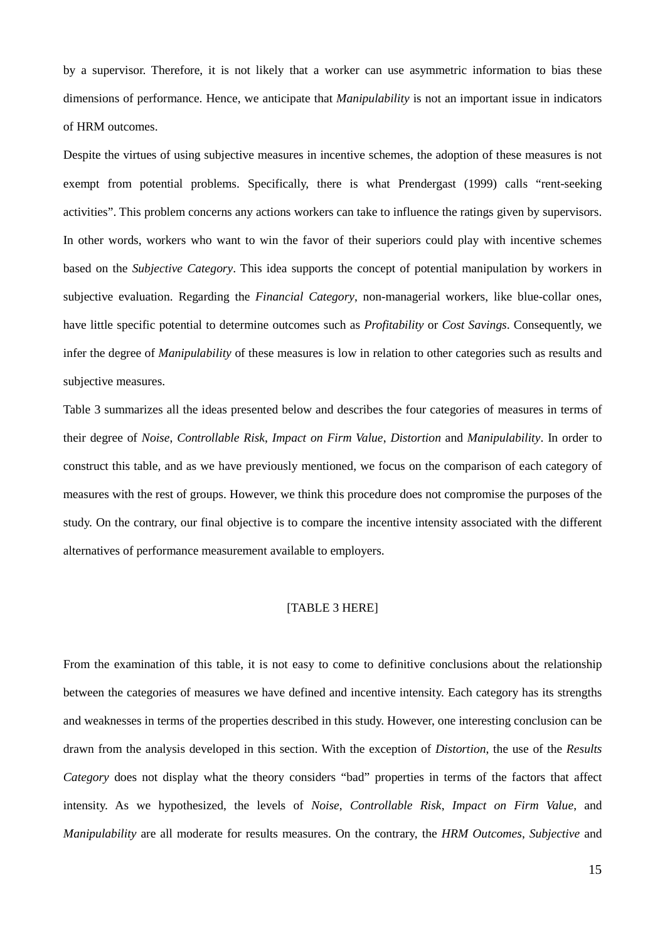by a supervisor. Therefore, it is not likely that a worker can use asymmetric information to bias these dimensions of performance. Hence, we anticipate that *Manipulability* is not an important issue in indicators of HRM outcomes.

Despite the virtues of using subjective measures in incentive schemes, the adoption of these measures is not exempt from potential problems. Specifically, there is what Prendergast (1999) calls "rent-seeking activities". This problem concerns any actions workers can take to influence the ratings given by supervisors. In other words, workers who want to win the favor of their superiors could play with incentive schemes based on the *Subjective Category*. This idea supports the concept of potential manipulation by workers in subjective evaluation. Regarding the *Financial Category*, non-managerial workers, like blue-collar ones, have little specific potential to determine outcomes such as *Profitability* or *Cost Savings*. Consequently, we infer the degree of *Manipulability* of these measures is low in relation to other categories such as results and subjective measures.

Table 3 summarizes all the ideas presented below and describes the four categories of measures in terms of their degree of *Noise*, *Controllable Risk*, *Impact on Firm Value*, *Distortion* and *Manipulability*. In order to construct this table, and as we have previously mentioned, we focus on the comparison of each category of measures with the rest of groups. However, we think this procedure does not compromise the purposes of the study. On the contrary, our final objective is to compare the incentive intensity associated with the different alternatives of performance measurement available to employers.

#### [TABLE 3 HERE]

From the examination of this table, it is not easy to come to definitive conclusions about the relationship between the categories of measures we have defined and incentive intensity. Each category has its strengths and weaknesses in terms of the properties described in this study. However, one interesting conclusion can be drawn from the analysis developed in this section. With the exception of *Distortion*, the use of the *Results Category* does not display what the theory considers "bad" properties in terms of the factors that affect intensity. As we hypothesized, the levels of *Noise*, *Controllable Risk*, *Impact on Firm Value*, and *Manipulability* are all moderate for results measures. On the contrary, the *HRM Outcomes*, *Subjective* and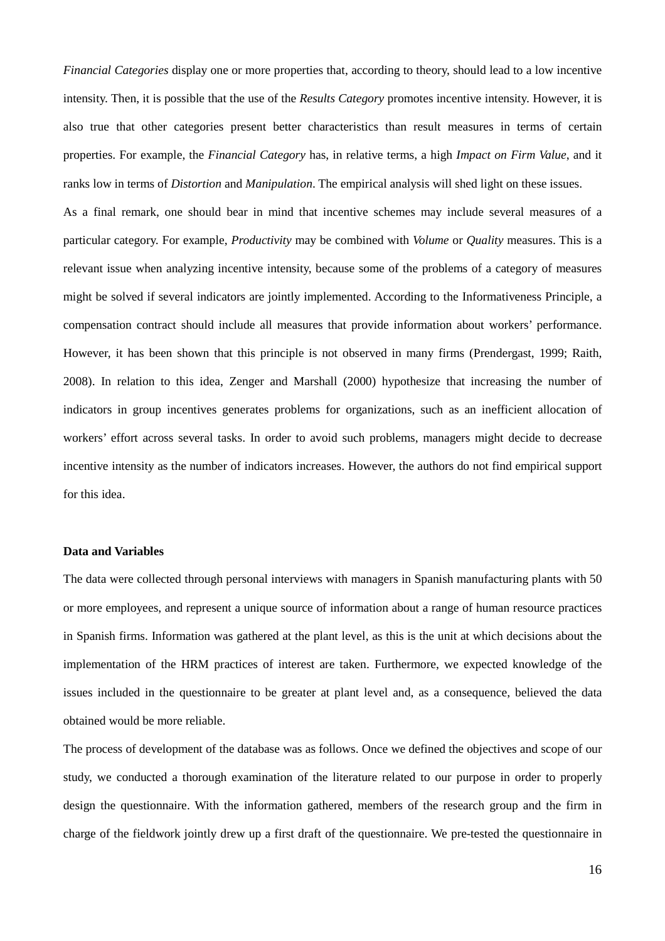*Financial Categories* display one or more properties that, according to theory, should lead to a low incentive intensity. Then, it is possible that the use of the *Results Category* promotes incentive intensity. However, it is also true that other categories present better characteristics than result measures in terms of certain properties. For example, the *Financial Category* has, in relative terms, a high *Impact on Firm Value*, and it ranks low in terms of *Distortion* and *Manipulation*. The empirical analysis will shed light on these issues.

As a final remark, one should bear in mind that incentive schemes may include several measures of a particular category. For example, *Productivity* may be combined with *Volume* or *Quality* measures. This is a relevant issue when analyzing incentive intensity, because some of the problems of a category of measures might be solved if several indicators are jointly implemented. According to the Informativeness Principle, a compensation contract should include all measures that provide information about workers' performance. However, it has been shown that this principle is not observed in many firms (Prendergast, 1999; Raith, 2008). In relation to this idea, Zenger and Marshall (2000) hypothesize that increasing the number of indicators in group incentives generates problems for organizations, such as an inefficient allocation of workers' effort across several tasks. In order to avoid such problems, managers might decide to decrease incentive intensity as the number of indicators increases. However, the authors do not find empirical support for this idea.

#### **Data and Variables**

The data were collected through personal interviews with managers in Spanish manufacturing plants with 50 or more employees, and represent a unique source of information about a range of human resource practices in Spanish firms. Information was gathered at the plant level, as this is the unit at which decisions about the implementation of the HRM practices of interest are taken. Furthermore, we expected knowledge of the issues included in the questionnaire to be greater at plant level and, as a consequence, believed the data obtained would be more reliable.

The process of development of the database was as follows. Once we defined the objectives and scope of our study, we conducted a thorough examination of the literature related to our purpose in order to properly design the questionnaire. With the information gathered, members of the research group and the firm in charge of the fieldwork jointly drew up a first draft of the questionnaire. We pre-tested the questionnaire in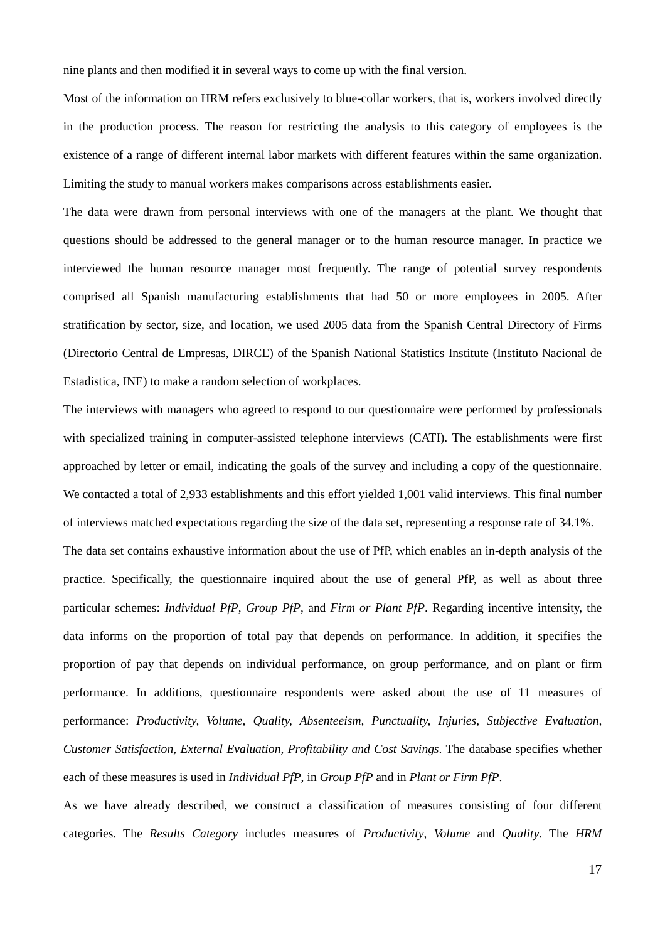nine plants and then modified it in several ways to come up with the final version.

Most of the information on HRM refers exclusively to blue-collar workers, that is, workers involved directly in the production process. The reason for restricting the analysis to this category of employees is the existence of a range of different internal labor markets with different features within the same organization. Limiting the study to manual workers makes comparisons across establishments easier.

The data were drawn from personal interviews with one of the managers at the plant. We thought that questions should be addressed to the general manager or to the human resource manager. In practice we interviewed the human resource manager most frequently. The range of potential survey respondents comprised all Spanish manufacturing establishments that had 50 or more employees in 2005. After stratification by sector, size, and location, we used 2005 data from the Spanish Central Directory of Firms (Directorio Central de Empresas, DIRCE) of the Spanish National Statistics Institute (Instituto Nacional de Estadistica, INE) to make a random selection of workplaces.

The interviews with managers who agreed to respond to our questionnaire were performed by professionals with specialized training in computer-assisted telephone interviews (CATI). The establishments were first approached by letter or email, indicating the goals of the survey and including a copy of the questionnaire. We contacted a total of 2,933 establishments and this effort yielded 1,001 valid interviews. This final number of interviews matched expectations regarding the size of the data set, representing a response rate of 34.1%.

The data set contains exhaustive information about the use of PfP, which enables an in-depth analysis of the practice. Specifically, the questionnaire inquired about the use of general PfP, as well as about three particular schemes: *Individual PfP*, *Group PfP*, and *Firm or Plant PfP*. Regarding incentive intensity, the data informs on the proportion of total pay that depends on performance. In addition, it specifies the proportion of pay that depends on individual performance, on group performance, and on plant or firm performance. In additions, questionnaire respondents were asked about the use of 11 measures of performance: *Productivity, Volume, Quality, Absenteeism, Punctuality, Injuries, Subjective Evaluation, Customer Satisfaction, External Evaluation, Profitability and Cost Savings*. The database specifies whether each of these measures is used in *Individual PfP*, in *Group PfP* and in *Plant or Firm PfP*.

As we have already described, we construct a classification of measures consisting of four different categories. The *Results Category* includes measures of *Productivity*, *Volume* and *Quality*. The *HRM*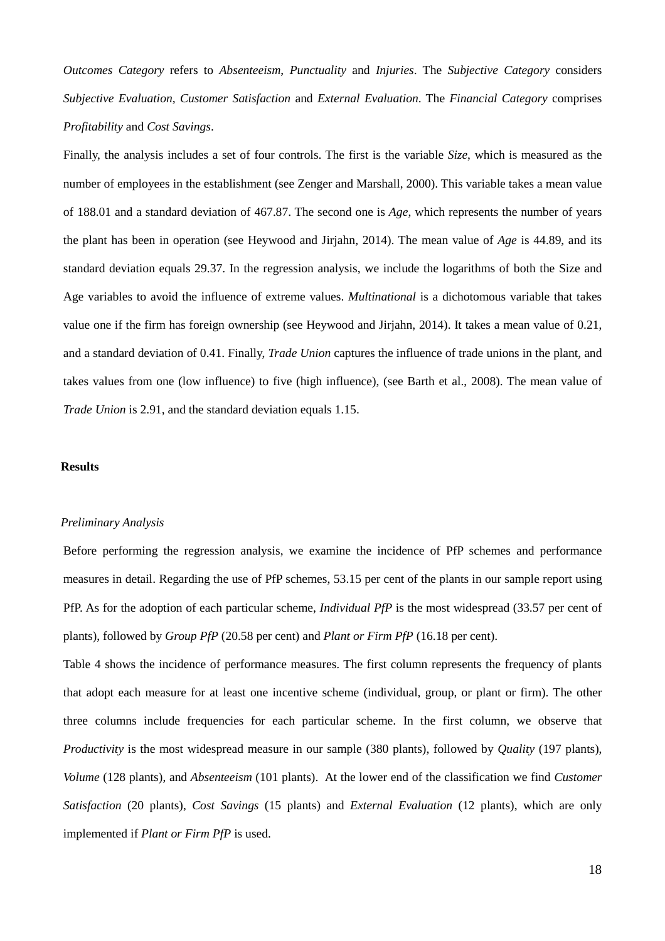*Outcomes Category* refers to *Absenteeism*, *Punctuality* and *Injuries*. The *Subjective Category* considers *Subjective Evaluation, Customer Satisfaction* and *External Evaluation*. The *Financial Category* comprises *Profitability* and *Cost Savings*.

Finally, the analysis includes a set of four controls. The first is the variable *Size*, which is measured as the number of employees in the establishment (see Zenger and Marshall, 2000). This variable takes a mean value of 188.01 and a standard deviation of 467.87. The second one is *Age*, which represents the number of years the plant has been in operation (see Heywood and Jirjahn, 2014). The mean value of *Age* is 44.89, and its standard deviation equals 29.37. In the regression analysis, we include the logarithms of both the Size and Age variables to avoid the influence of extreme values. *Multinational* is a dichotomous variable that takes value one if the firm has foreign ownership (see Heywood and Jirjahn, 2014). It takes a mean value of 0.21, and a standard deviation of 0.41. Finally, *Trade Union* captures the influence of trade unions in the plant, and takes values from one (low influence) to five (high influence), (see Barth et al., 2008). The mean value of *Trade Union* is 2.91, and the standard deviation equals 1.15.

#### **Results**

#### *Preliminary Analysis*

Before performing the regression analysis, we examine the incidence of PfP schemes and performance measures in detail. Regarding the use of PfP schemes, 53.15 per cent of the plants in our sample report using PfP. As for the adoption of each particular scheme, *Individual PfP* is the most widespread (33.57 per cent of plants), followed by *Group PfP* (20.58 per cent) and *Plant or Firm PfP* (16.18 per cent).

Table 4 shows the incidence of performance measures. The first column represents the frequency of plants that adopt each measure for at least one incentive scheme (individual, group, or plant or firm). The other three columns include frequencies for each particular scheme. In the first column, we observe that *Productivity* is the most widespread measure in our sample (380 plants), followed by *Quality* (197 plants), *Volume* (128 plants), and *Absenteeism* (101 plants). At the lower end of the classification we find *Customer Satisfaction* (20 plants), *Cost Savings* (15 plants) and *External Evaluation* (12 plants), which are only implemented if *Plant or Firm PfP* is used.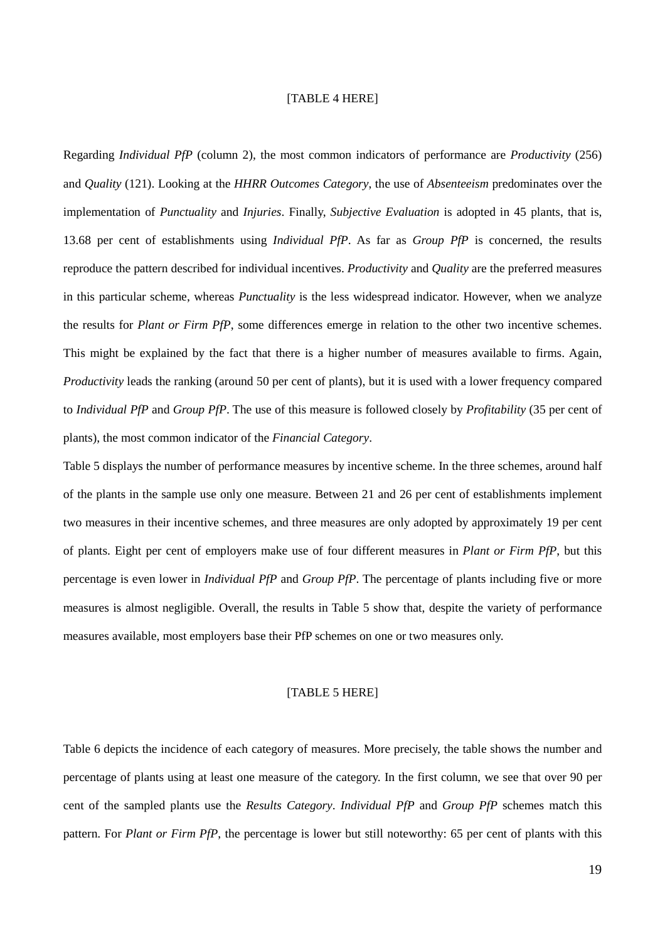#### [TABLE 4 HERE]

Regarding *Individual PfP* (column 2), the most common indicators of performance are *Productivity* (256) and *Quality* (121). Looking at the *HHRR Outcomes Category*, the use of *Absenteeism* predominates over the implementation of *Punctuality* and *Injuries*. Finally, *Subjective Evaluation* is adopted in 45 plants, that is, 13.68 per cent of establishments using *Individual PfP*. As far as *Group PfP* is concerned, the results reproduce the pattern described for individual incentives. *Productivity* and *Quality* are the preferred measures in this particular scheme, whereas *Punctuality* is the less widespread indicator. However, when we analyze the results for *Plant or Firm PfP*, some differences emerge in relation to the other two incentive schemes. This might be explained by the fact that there is a higher number of measures available to firms. Again, *Productivity* leads the ranking (around 50 per cent of plants), but it is used with a lower frequency compared to *Individual PfP* and *Group PfP*. The use of this measure is followed closely by *Profitability* (35 per cent of plants), the most common indicator of the *Financial Category*.

Table 5 displays the number of performance measures by incentive scheme. In the three schemes, around half of the plants in the sample use only one measure. Between 21 and 26 per cent of establishments implement two measures in their incentive schemes, and three measures are only adopted by approximately 19 per cent of plants. Eight per cent of employers make use of four different measures in *Plant or Firm PfP*, but this percentage is even lower in *Individual PfP* and *Group PfP*. The percentage of plants including five or more measures is almost negligible. Overall, the results in Table 5 show that, despite the variety of performance measures available, most employers base their PfP schemes on one or two measures only.

#### [TABLE 5 HERE]

Table 6 depicts the incidence of each category of measures. More precisely, the table shows the number and percentage of plants using at least one measure of the category. In the first column, we see that over 90 per cent of the sampled plants use the *Results Category*. *Individual PfP* and *Group PfP* schemes match this pattern. For *Plant or Firm PfP*, the percentage is lower but still noteworthy: 65 per cent of plants with this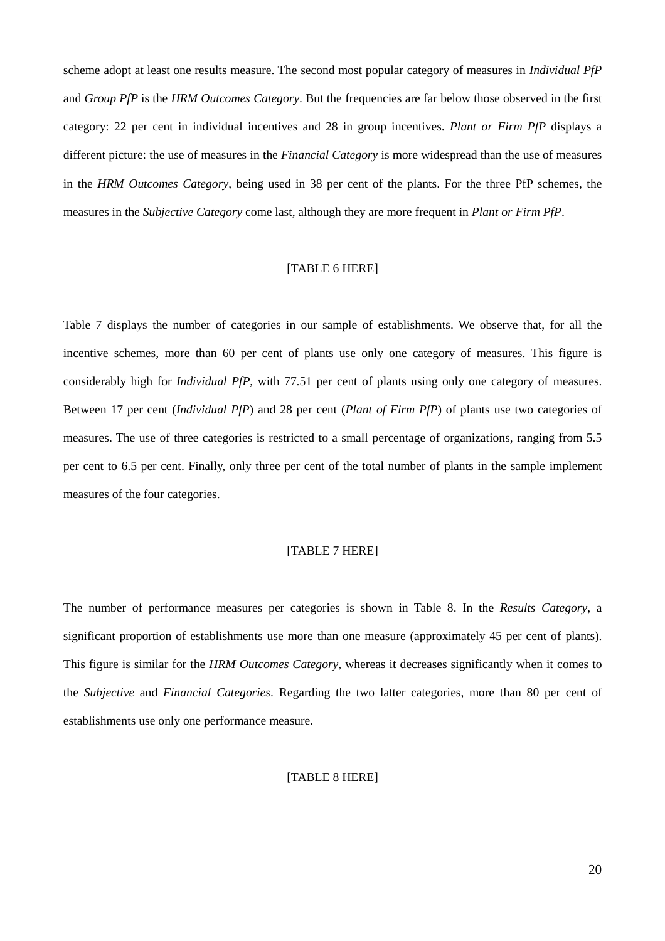scheme adopt at least one results measure. The second most popular category of measures in *Individual PfP* and *Group PfP* is the *HRM Outcomes Category*. But the frequencies are far below those observed in the first category: 22 per cent in individual incentives and 28 in group incentives. *Plant or Firm PfP* displays a different picture: the use of measures in the *Financial Category* is more widespread than the use of measures in the *HRM Outcomes Category*, being used in 38 per cent of the plants. For the three PfP schemes, the measures in the *Subjective Category* come last, although they are more frequent in *Plant or Firm PfP*.

#### [TABLE 6 HERE]

Table 7 displays the number of categories in our sample of establishments. We observe that, for all the incentive schemes, more than 60 per cent of plants use only one category of measures. This figure is considerably high for *Individual PfP*, with 77.51 per cent of plants using only one category of measures. Between 17 per cent (*Individual PfP*) and 28 per cent (*Plant of Firm PfP*) of plants use two categories of measures. The use of three categories is restricted to a small percentage of organizations, ranging from 5.5 per cent to 6.5 per cent. Finally, only three per cent of the total number of plants in the sample implement measures of the four categories.

#### [TABLE 7 HERE]

The number of performance measures per categories is shown in Table 8. In the *Results Category*, a significant proportion of establishments use more than one measure (approximately 45 per cent of plants). This figure is similar for the *HRM Outcomes Category*, whereas it decreases significantly when it comes to the *Subjective* and *Financial Categories*. Regarding the two latter categories, more than 80 per cent of establishments use only one performance measure.

#### [TABLE 8 HERE]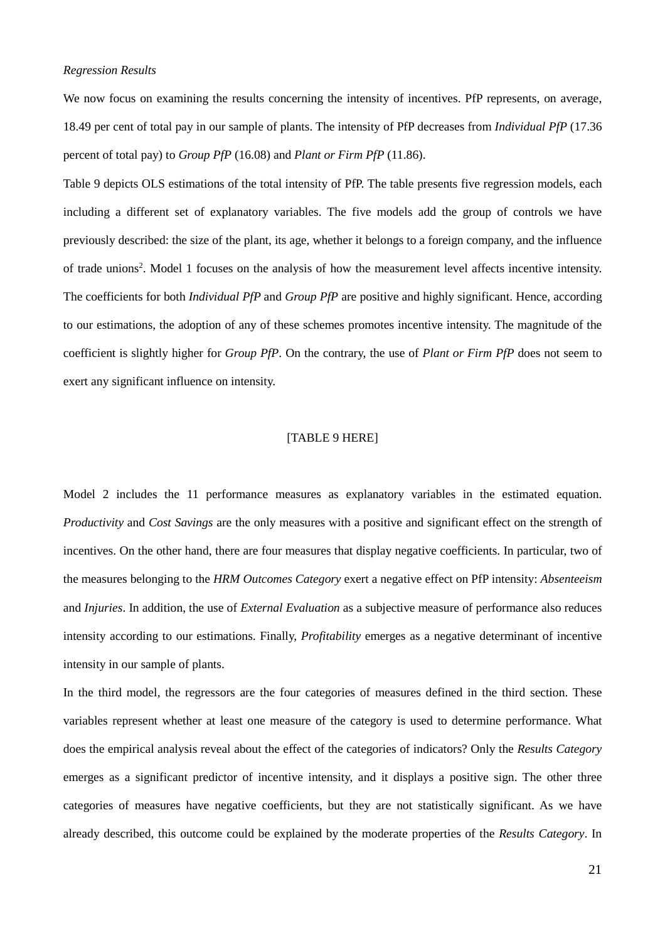#### *Regression Results*

We now focus on examining the results concerning the intensity of incentives. PfP represents, on average, 18.49 per cent of total pay in our sample of plants. The intensity of PfP decreases from *Individual PfP* (17.36 percent of total pay) to *Group PfP* (16.08) and *Plant or Firm PfP* (11.86).

Table 9 depicts OLS estimations of the total intensity of PfP. The table presents five regression models, each including a different set of explanatory variables. The five models add the group of controls we have previously described: the size of the plant, its age, whether it belongs to a foreign company, and the influence of trade unions<sup>2</sup>. Model 1 focuses on the analysis of how the measurement level affects incentive intensity. The coefficients for both *Individual PfP* and *Group PfP* are positive and highly significant. Hence, according to our estimations, the adoption of any of these schemes promotes incentive intensity. The magnitude of the coefficient is slightly higher for *Group PfP*. On the contrary, the use of *Plant or Firm PfP* does not seem to exert any significant influence on intensity.

#### [TABLE 9 HERE]

Model 2 includes the 11 performance measures as explanatory variables in the estimated equation. *Productivity* and *Cost Savings* are the only measures with a positive and significant effect on the strength of incentives. On the other hand, there are four measures that display negative coefficients. In particular, two of the measures belonging to the *HRM Outcomes Category* exert a negative effect on PfP intensity: *Absenteeism* and *Injuries*. In addition, the use of *External Evaluation* as a subjective measure of performance also reduces intensity according to our estimations. Finally, *Profitability* emerges as a negative determinant of incentive intensity in our sample of plants.

In the third model, the regressors are the four categories of measures defined in the third section. These variables represent whether at least one measure of the category is used to determine performance. What does the empirical analysis reveal about the effect of the categories of indicators? Only the *Results Category* emerges as a significant predictor of incentive intensity, and it displays a positive sign. The other three categories of measures have negative coefficients, but they are not statistically significant. As we have already described, this outcome could be explained by the moderate properties of the *Results Category*. In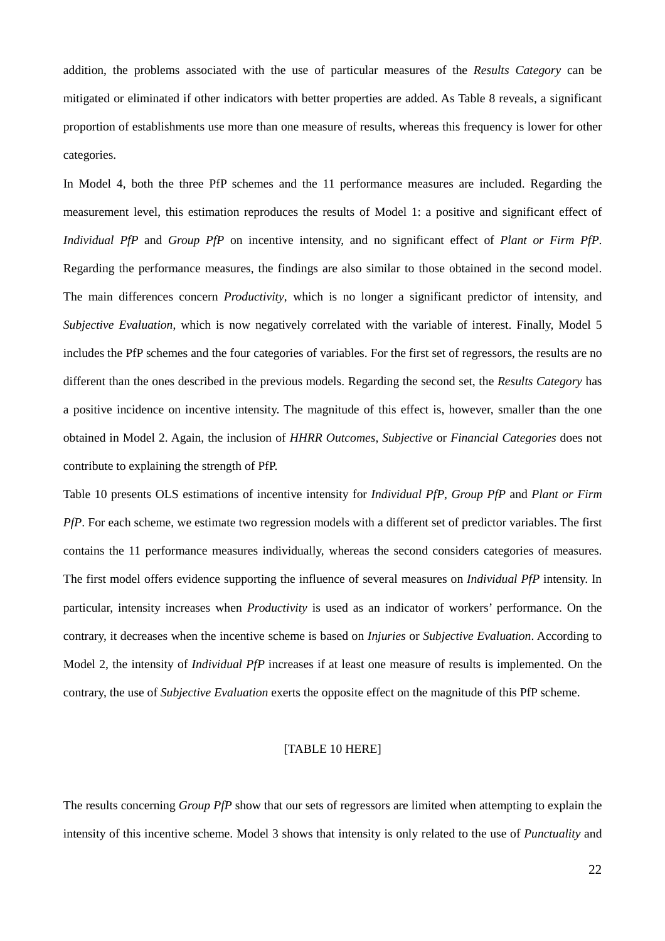addition, the problems associated with the use of particular measures of the *Results Category* can be mitigated or eliminated if other indicators with better properties are added. As Table 8 reveals, a significant proportion of establishments use more than one measure of results, whereas this frequency is lower for other categories.

In Model 4, both the three PfP schemes and the 11 performance measures are included. Regarding the measurement level, this estimation reproduces the results of Model 1: a positive and significant effect of *Individual PfP* and *Group PfP* on incentive intensity, and no significant effect of *Plant or Firm PfP*. Regarding the performance measures, the findings are also similar to those obtained in the second model. The main differences concern *Productivity*, which is no longer a significant predictor of intensity, and *Subjective Evaluation*, which is now negatively correlated with the variable of interest. Finally, Model 5 includes the PfP schemes and the four categories of variables. For the first set of regressors, the results are no different than the ones described in the previous models. Regarding the second set, the *Results Category* has a positive incidence on incentive intensity. The magnitude of this effect is, however, smaller than the one obtained in Model 2. Again, the inclusion of *HHRR Outcomes*, *Subjective* or *Financial Categories* does not contribute to explaining the strength of PfP.

Table 10 presents OLS estimations of incentive intensity for *Individual PfP*, *Group PfP* and *Plant or Firm PfP*. For each scheme, we estimate two regression models with a different set of predictor variables. The first contains the 11 performance measures individually, whereas the second considers categories of measures. The first model offers evidence supporting the influence of several measures on *Individual PfP* intensity. In particular, intensity increases when *Productivity* is used as an indicator of workers' performance. On the contrary, it decreases when the incentive scheme is based on *Injuries* or *Subjective Evaluation*. According to Model 2, the intensity of *Individual PfP* increases if at least one measure of results is implemented. On the contrary, the use of *Subjective Evaluation* exerts the opposite effect on the magnitude of this PfP scheme.

#### [TABLE 10 HERE]

The results concerning *Group PfP* show that our sets of regressors are limited when attempting to explain the intensity of this incentive scheme. Model 3 shows that intensity is only related to the use of *Punctuality* and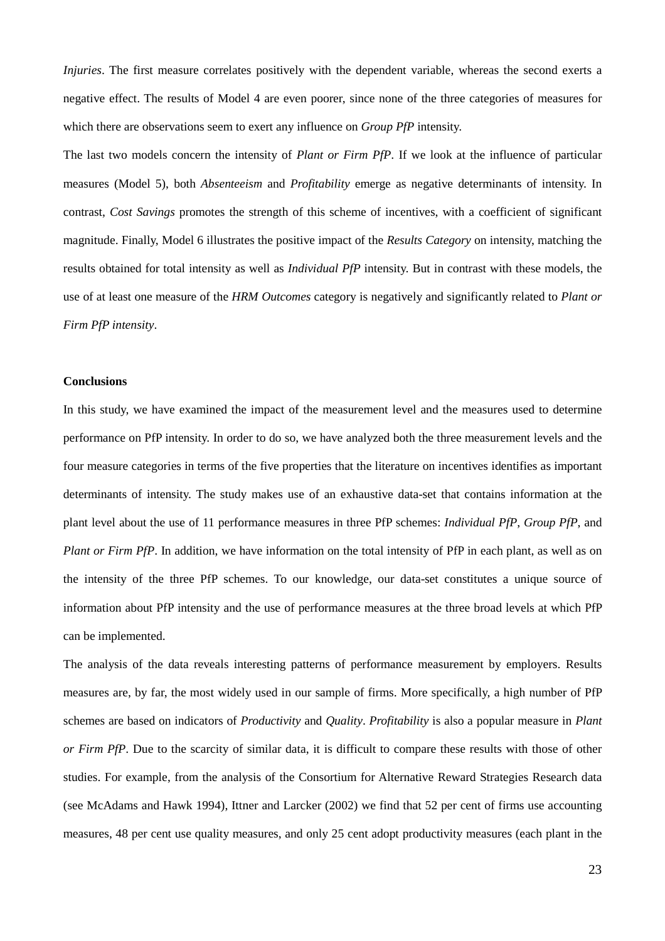*Injuries*. The first measure correlates positively with the dependent variable, whereas the second exerts a negative effect. The results of Model 4 are even poorer, since none of the three categories of measures for which there are observations seem to exert any influence on *Group PfP* intensity.

The last two models concern the intensity of *Plant or Firm PfP*. If we look at the influence of particular measures (Model 5), both *Absenteeism* and *Profitability* emerge as negative determinants of intensity. In contrast, *Cost Savings* promotes the strength of this scheme of incentives, with a coefficient of significant magnitude. Finally, Model 6 illustrates the positive impact of the *Results Category* on intensity, matching the results obtained for total intensity as well as *Individual PfP* intensity. But in contrast with these models, the use of at least one measure of the *HRM Outcomes* category is negatively and significantly related to *Plant or Firm PfP intensity*.

#### **Conclusions**

In this study, we have examined the impact of the measurement level and the measures used to determine performance on PfP intensity. In order to do so, we have analyzed both the three measurement levels and the four measure categories in terms of the five properties that the literature on incentives identifies as important determinants of intensity. The study makes use of an exhaustive data-set that contains information at the plant level about the use of 11 performance measures in three PfP schemes: *Individual PfP*, *Group PfP*, and *Plant or Firm PfP*. In addition, we have information on the total intensity of PfP in each plant, as well as on the intensity of the three PfP schemes. To our knowledge, our data-set constitutes a unique source of information about PfP intensity and the use of performance measures at the three broad levels at which PfP can be implemented.

The analysis of the data reveals interesting patterns of performance measurement by employers. Results measures are, by far, the most widely used in our sample of firms. More specifically, a high number of PfP schemes are based on indicators of *Productivity* and *Quality*. *Profitability* is also a popular measure in *Plant or Firm PfP*. Due to the scarcity of similar data, it is difficult to compare these results with those of other studies. For example, from the analysis of the Consortium for Alternative Reward Strategies Research data (see McAdams and Hawk 1994), Ittner and Larcker (2002) we find that 52 per cent of firms use accounting measures, 48 per cent use quality measures, and only 25 cent adopt productivity measures (each plant in the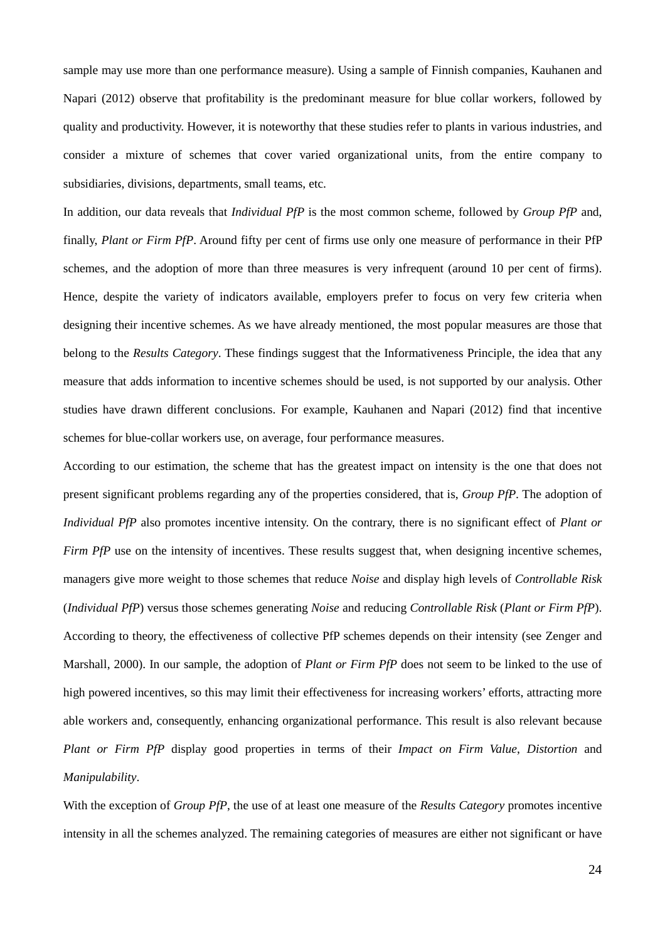sample may use more than one performance measure). Using a sample of Finnish companies, Kauhanen and Napari (2012) observe that profitability is the predominant measure for blue collar workers, followed by quality and productivity. However, it is noteworthy that these studies refer to plants in various industries, and consider a mixture of schemes that cover varied organizational units, from the entire company to subsidiaries, divisions, departments, small teams, etc.

In addition, our data reveals that *Individual PfP* is the most common scheme, followed by *Group PfP* and, finally, *Plant or Firm PfP*. Around fifty per cent of firms use only one measure of performance in their PfP schemes, and the adoption of more than three measures is very infrequent (around 10 per cent of firms). Hence, despite the variety of indicators available, employers prefer to focus on very few criteria when designing their incentive schemes. As we have already mentioned, the most popular measures are those that belong to the *Results Category*. These findings suggest that the Informativeness Principle, the idea that any measure that adds information to incentive schemes should be used, is not supported by our analysis. Other studies have drawn different conclusions. For example, Kauhanen and Napari (2012) find that incentive schemes for blue-collar workers use, on average, four performance measures.

According to our estimation, the scheme that has the greatest impact on intensity is the one that does not present significant problems regarding any of the properties considered, that is, *Group PfP*. The adoption of *Individual PfP* also promotes incentive intensity. On the contrary, there is no significant effect of *Plant or Firm PfP* use on the intensity of incentives. These results suggest that, when designing incentive schemes, managers give more weight to those schemes that reduce *Noise* and display high levels of *Controllable Risk* (*Individual PfP*) versus those schemes generating *Noise* and reducing *Controllable Risk* (*Plant or Firm PfP*). According to theory, the effectiveness of collective PfP schemes depends on their intensity (see Zenger and Marshall, 2000). In our sample, the adoption of *Plant or Firm PfP* does not seem to be linked to the use of high powered incentives, so this may limit their effectiveness for increasing workers' efforts, attracting more able workers and, consequently, enhancing organizational performance. This result is also relevant because *Plant or Firm PfP* display good properties in terms of their *Impact on Firm Value*, *Distortion* and *Manipulability*.

With the exception of *Group PfP*, the use of at least one measure of the *Results Category* promotes incentive intensity in all the schemes analyzed. The remaining categories of measures are either not significant or have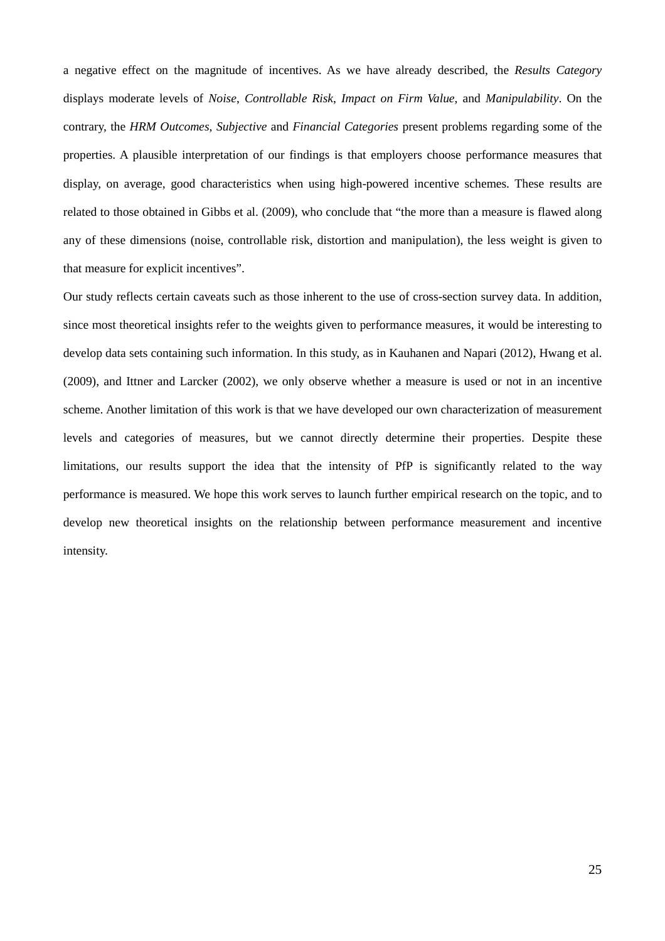a negative effect on the magnitude of incentives. As we have already described, the *Results Category* displays moderate levels of *Noise*, *Controllable Risk*, *Impact on Firm Value*, and *Manipulability*. On the contrary, the *HRM Outcomes*, *Subjective* and *Financial Categories* present problems regarding some of the properties. A plausible interpretation of our findings is that employers choose performance measures that display, on average, good characteristics when using high-powered incentive schemes. These results are related to those obtained in Gibbs et al. (2009), who conclude that "the more than a measure is flawed along any of these dimensions (noise, controllable risk, distortion and manipulation), the less weight is given to that measure for explicit incentives".

Our study reflects certain caveats such as those inherent to the use of cross-section survey data. In addition, since most theoretical insights refer to the weights given to performance measures, it would be interesting to develop data sets containing such information. In this study, as in Kauhanen and Napari (2012), Hwang et al. (2009), and Ittner and Larcker (2002), we only observe whether a measure is used or not in an incentive scheme. Another limitation of this work is that we have developed our own characterization of measurement levels and categories of measures, but we cannot directly determine their properties. Despite these limitations, our results support the idea that the intensity of PfP is significantly related to the way performance is measured. We hope this work serves to launch further empirical research on the topic, and to develop new theoretical insights on the relationship between performance measurement and incentive intensity.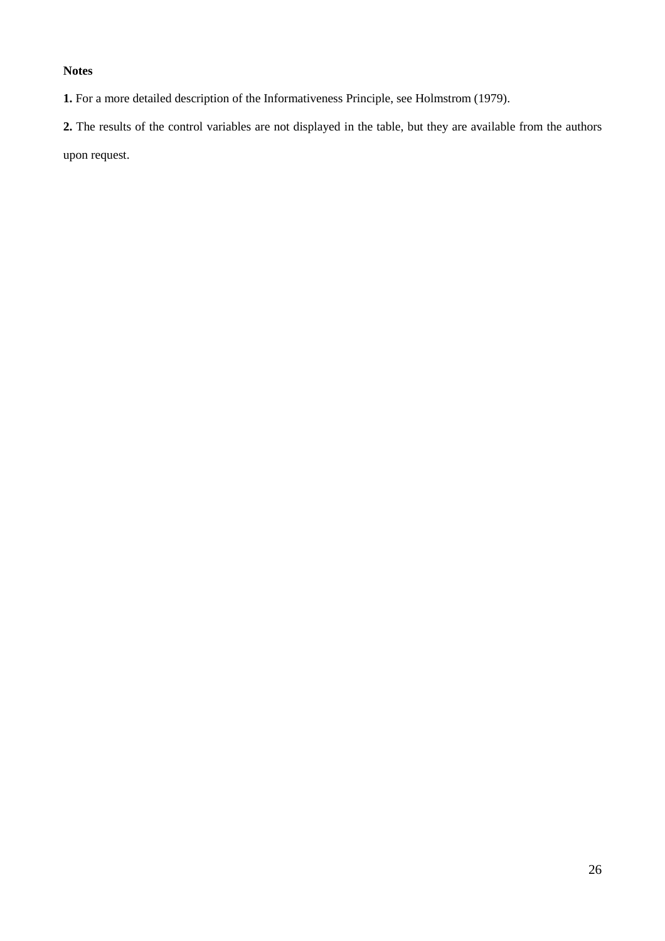#### **Notes**

**1.** For a more detailed description of the Informativeness Principle, see Holmstrom (1979).

**2.** The results of the control variables are not displayed in the table, but they are available from the authors upon request.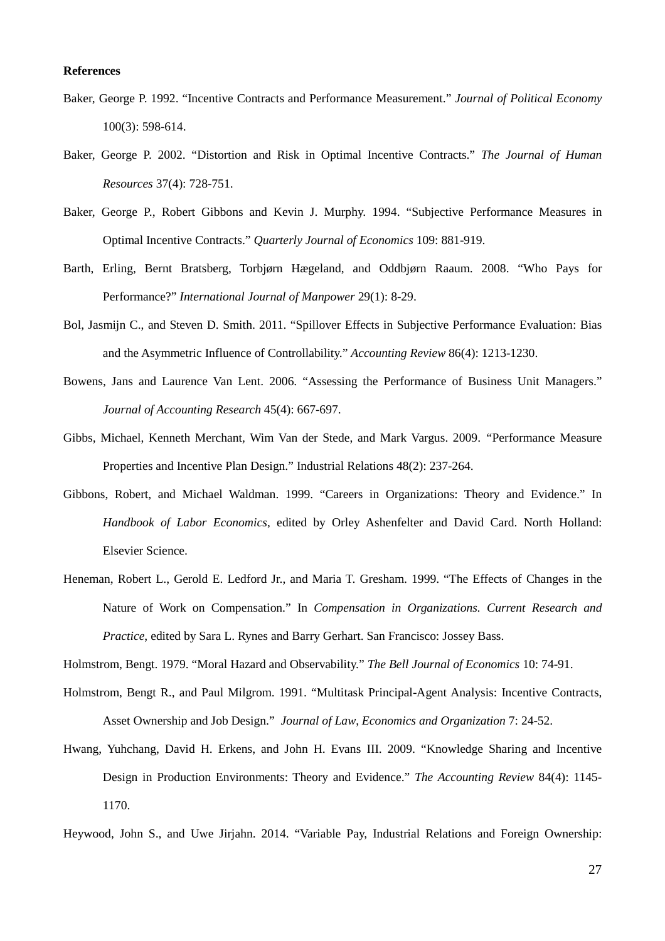#### **References**

- Baker, George P. 1992. "Incentive Contracts and Performance Measurement." *Journal of Political Economy* 100(3): 598-614.
- Baker, George P. 2002. "Distortion and Risk in Optimal Incentive Contracts." *The Journal of Human Resources* 37(4): 728-751.
- Baker, George P., Robert Gibbons and Kevin J. Murphy. 1994. "Subjective Performance Measures in Optimal Incentive Contracts." *Quarterly Journal of Economics* 109: 881-919.
- Barth, Erling, Bernt Bratsberg, Torbjørn Hægeland, and Oddbjørn Raaum. 2008. "Who Pays for Performance?" *International Journal of Manpower* 29(1): 8-29.
- Bol, Jasmijn C., and Steven D. Smith. 2011. "Spillover Effects in Subjective Performance Evaluation: Bias and the Asymmetric Influence of Controllability." *Accounting Review* 86(4): 1213-1230.
- Bowens, Jans and Laurence Van Lent. 2006. "Assessing the Performance of Business Unit Managers." *Journal of Accounting Research* 45(4): 667-697.
- Gibbs*,* Michael, Kenneth Merchant*,* Wim Van der Stede, and Mark Vargus. 2009. *"*Performance Measure Properties and Incentive Plan Design." Industrial Relations 48(2): 237-264.
- Gibbons, Robert, and Michael Waldman. 1999. "Careers in Organizations: Theory and Evidence." In *Handbook of Labor Economics*, edited by Orley Ashenfelter and David Card. North Holland: Elsevier Science.
- Heneman, Robert L., Gerold E. Ledford Jr., and Maria T. Gresham. 1999. "The Effects of Changes in the Nature of Work on Compensation." In *Compensation in Organizations. Current Research and Practice*, edited by Sara L. Rynes and Barry Gerhart. San Francisco: Jossey Bass.
- Holmstrom, Bengt. 1979. "Moral Hazard and Observability." *The Bell Journal of Economics* 10: 74-91.
- Holmstrom, Bengt R., and Paul Milgrom. 1991. "Multitask Principal-Agent Analysis: Incentive Contracts, Asset Ownership and Job Design." *Journal of Law*, *Economics and Organization* 7: 24-52.
- Hwang, Yuhchang, David H. Erkens, and John H. Evans III. 2009. "Knowledge Sharing and Incentive Design in Production Environments: Theory and Evidence." *The Accounting Review* 84(4): 1145- 1170.
- Heywood, John S., and Uwe Jirjahn. 2014. "Variable Pay, Industrial Relations and Foreign Ownership: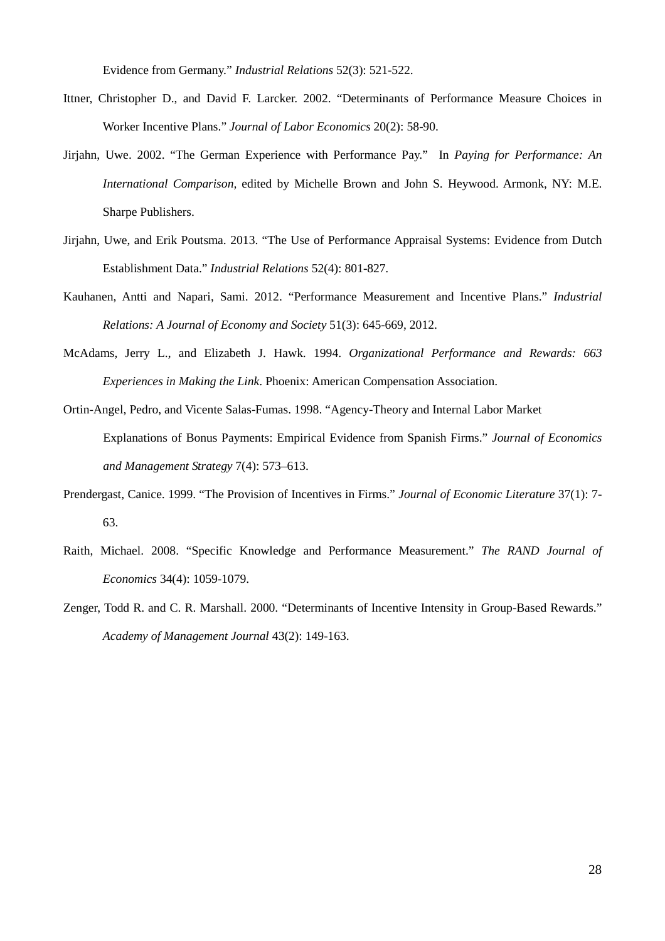Evidence from Germany." *Industrial Relations* 52(3): 521-522.

- Ittner, Christopher D., and David F. Larcker. 2002. "Determinants of Performance Measure Choices in Worker Incentive Plans." *Journal of Labor Economics* 20(2): 58-90.
- Jirjahn, Uwe. 2002. "The German Experience with Performance Pay." In *Paying for Performance: An International Comparison,* edited by Michelle Brown and John S. Heywood. Armonk, NY: M.E. Sharpe Publishers.
- Jirjahn, Uwe, and Erik Poutsma. 2013. "The Use of Performance Appraisal Systems: Evidence from Dutch Establishment Data." *Industrial Relations* 52(4): 801-827*.*
- Kauhanen, Antti and Napari, Sami. 2012. "Performance Measurement and Incentive Plans." *Industrial Relations: A Journal of Economy and Society* 51(3): 645-669, 2012.
- McAdams, Jerry L., and Elizabeth J. Hawk. 1994. *Organizational Performance and Rewards: 663 Experiences in Making the Link*. Phoenix: American Compensation Association.
- Ortin-Angel, Pedro, and Vicente Salas-Fumas. 1998. "Agency-Theory and Internal Labor Market Explanations of Bonus Payments: Empirical Evidence from Spanish Firms." *Journal of Economics and Management Strategy* 7(4): 573–613.
- Prendergast, Canice. 1999. "The Provision of Incentives in Firms." *Journal of Economic Literature* 37(1): 7- 63.
- Raith, Michael. 2008. "Specific Knowledge and Performance Measurement." *The RAND Journal of Economics* 34(4): 1059-1079.
- Zenger, Todd R. and C. R. Marshall. 2000. "Determinants of Incentive Intensity in Group-Based Rewards." *Academy of Management Journal* 43(2): 149-163.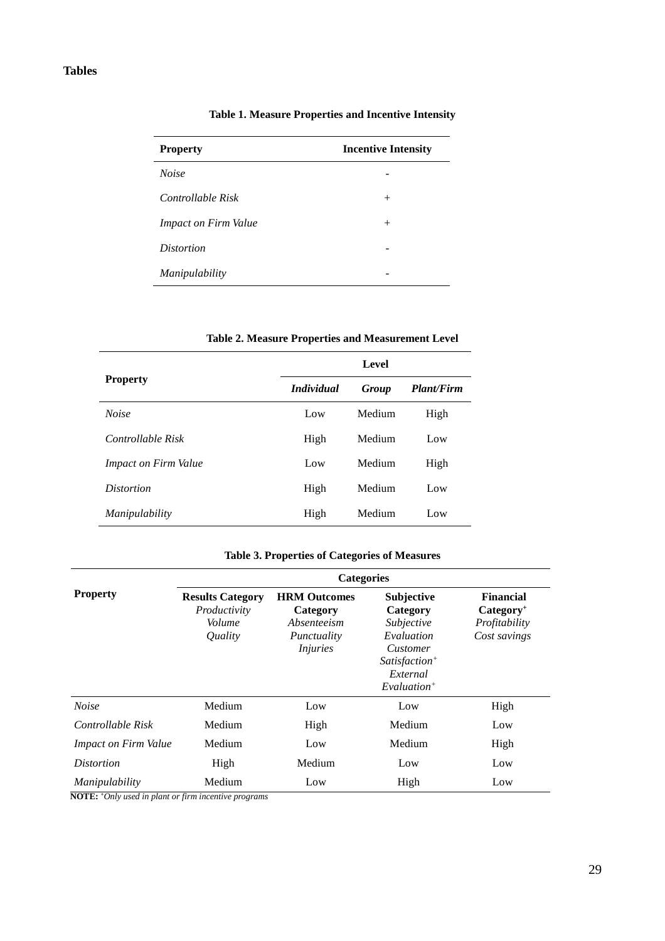#### **Tables**

| <b>Property</b>             | <b>Incentive Intensity</b> |
|-----------------------------|----------------------------|
| <b>Noise</b>                |                            |
| Controllable Risk           | $^{+}$                     |
| <i>Impact on Firm Value</i> | $^{+}$                     |
| <i>Distortion</i>           |                            |
| <i>Manipulability</i>       |                            |

#### **Table 1. Measure Properties and Incentive Intensity**

|                             | Level             |        |                   |  |
|-----------------------------|-------------------|--------|-------------------|--|
| <b>Property</b>             | <i>Individual</i> | Group  | <b>Plant/Firm</b> |  |
| <b>Noise</b>                | Low               | Medium | High              |  |
| Controllable Risk           | High              | Medium | Low               |  |
| <b>Impact on Firm Value</b> | Low               | Medium | High              |  |
| <i>Distortion</i>           | High              | Medium | Low               |  |
| Manipulability              | High              | Medium | Low               |  |

#### **Table 2. Measure Properties and Measurement Level**

#### **Table 3. Properties of Categories of Measures**

|                             | <b>Categories</b>                                            |                                                                                  |                                                                                                                       |                                                                  |  |
|-----------------------------|--------------------------------------------------------------|----------------------------------------------------------------------------------|-----------------------------------------------------------------------------------------------------------------------|------------------------------------------------------------------|--|
| <b>Property</b>             | <b>Results Category</b><br>Productivity<br>Volume<br>Quality | <b>HRM Outcomes</b><br>Category<br>Absenteeism<br>Punctuality<br><i>Injuries</i> | <b>Subjective</b><br>Category<br>Subjective<br>Evaluation<br>Customer<br>$Satis factor+$<br>External<br>$Evaluation+$ | <b>Financial</b><br>$Category+$<br>Profitability<br>Cost savings |  |
| <b>Noise</b>                | Medium                                                       | Low                                                                              | Low                                                                                                                   | High                                                             |  |
| Controllable Risk           | Medium                                                       | High                                                                             | Medium                                                                                                                | Low                                                              |  |
| <b>Impact on Firm Value</b> | Medium                                                       | Low                                                                              | Medium                                                                                                                | High                                                             |  |
| <i>Distortion</i>           | High                                                         | Medium                                                                           | Low                                                                                                                   | Low                                                              |  |
| Manipulability              | Medium                                                       | Low                                                                              | High                                                                                                                  | Low                                                              |  |

 **NOTE: +***Only used in plant or firm incentive programs*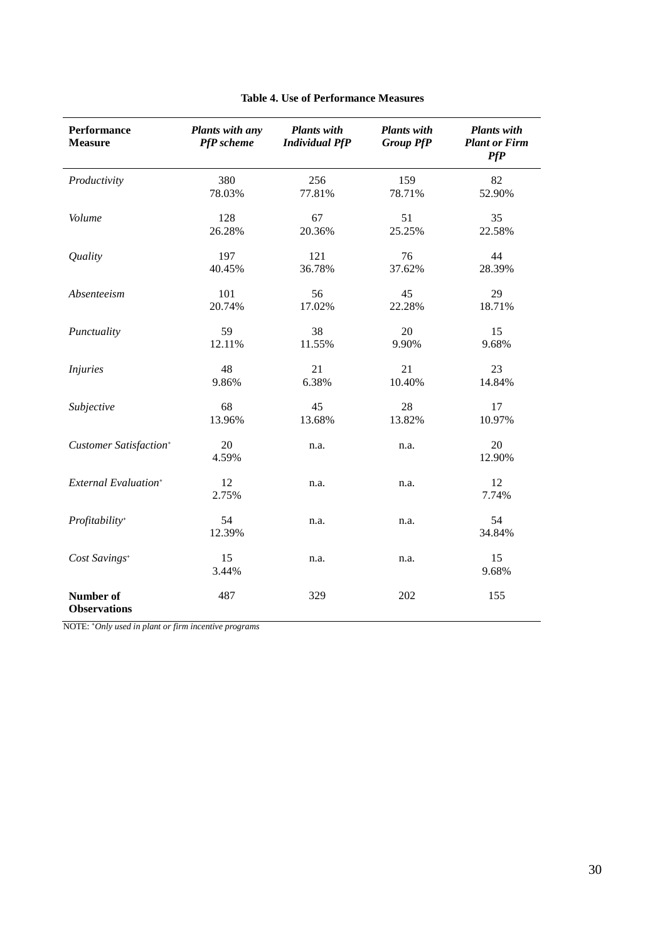| Performance<br><b>Measure</b>      | Plants with any<br>PfP scheme | <b>Plants</b> with<br><b>Individual PfP</b> | <b>Plants</b> with<br><b>Group PfP</b> | <b>Plants with</b><br><b>Plant or Firm</b><br><b>PfP</b> |
|------------------------------------|-------------------------------|---------------------------------------------|----------------------------------------|----------------------------------------------------------|
| Productivity                       | 380                           | 256                                         | 159                                    | 82                                                       |
|                                    | 78.03%                        | 77.81%                                      | 78.71%                                 | 52.90%                                                   |
| Volume                             | 128                           | 67                                          | 51                                     | 35                                                       |
|                                    | 26.28%                        | 20.36%                                      | 25.25%                                 | 22.58%                                                   |
| Quality                            | 197                           | 121                                         | 76                                     | 44                                                       |
|                                    | 40.45%                        | 36.78%                                      | 37.62%                                 | 28.39%                                                   |
| Absenteeism                        | 101                           | 56                                          | 45                                     | 29                                                       |
|                                    | 20.74%                        | 17.02%                                      | 22.28%                                 | 18.71%                                                   |
| Punctuality                        | 59                            | 38                                          | 20                                     | 15                                                       |
|                                    | 12.11%                        | 11.55%                                      | 9.90%                                  | 9.68%                                                    |
| <i>Injuries</i>                    | 48                            | 21                                          | 21                                     | 23                                                       |
|                                    | 9.86%                         | 6.38%                                       | 10.40%                                 | 14.84%                                                   |
| Subjective                         | 68                            | 45                                          | 28                                     | 17                                                       |
|                                    | 13.96%                        | 13.68%                                      | 13.82%                                 | 10.97%                                                   |
| Customer Satisfaction <sup>+</sup> | 20<br>4.59%                   | n.a.                                        | n.a.                                   | 20<br>12.90%                                             |
| External Evaluation <sup>+</sup>   | 12<br>2.75%                   | n.a.                                        | n.a.                                   | 12<br>7.74%                                              |
| Profitability <sup>+</sup>         | 54<br>12.39%                  | n.a.                                        | n.a.                                   | 54<br>34.84%                                             |
| Cost Savings <sup>+</sup>          | 15<br>3.44%                   | n.a.                                        | n.a.                                   | 15<br>9.68%                                              |
| Number of<br><b>Observations</b>   | 487                           | 329                                         | 202                                    | 155                                                      |

#### **Table 4. Use of Performance Measures**

NOTE: **<sup>+</sup>***Only used in plant or firm incentive programs*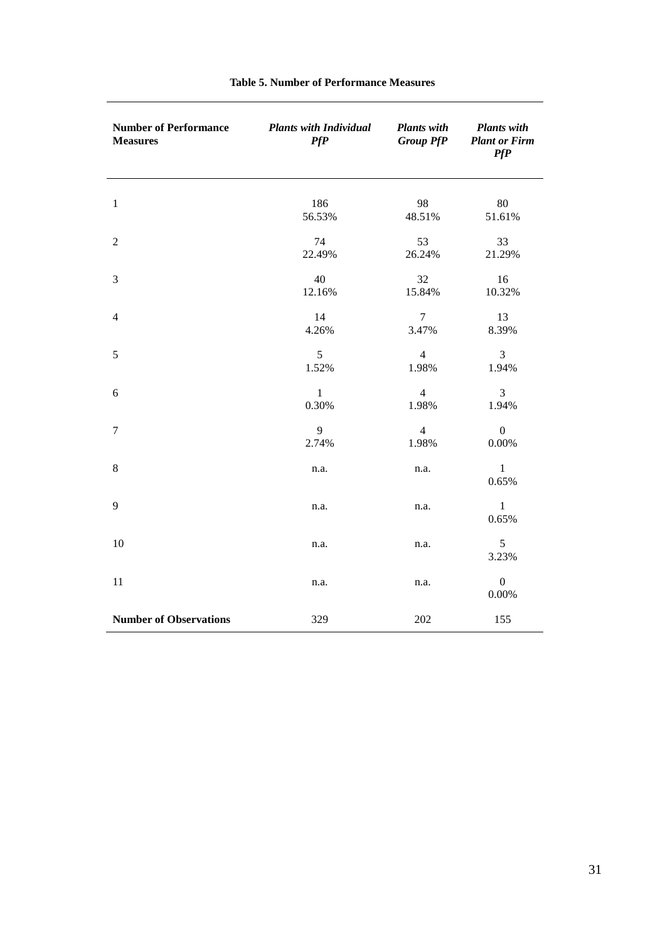| <b>Number of Performance</b><br><b>Measures</b> | <b>Plants with Individual</b><br>PfP | <b>Plants with</b><br><b>Group PfP</b> | <b>Plants</b> with<br><b>Plant or Firm</b><br>PfP |
|-------------------------------------------------|--------------------------------------|----------------------------------------|---------------------------------------------------|
| $\mathbf{1}$                                    | 186                                  | 98                                     | 80                                                |
|                                                 | 56.53%                               | 48.51%                                 | 51.61%                                            |
| $\overline{c}$                                  | 74                                   | 53                                     | 33                                                |
|                                                 | 22.49%                               | 26.24%                                 | 21.29%                                            |
| 3                                               | 40                                   | 32                                     | 16                                                |
|                                                 | 12.16%                               | 15.84%                                 | 10.32%                                            |
| $\overline{4}$                                  | 14                                   | $\overline{7}$                         | 13                                                |
|                                                 | 4.26%                                | 3.47%                                  | 8.39%                                             |
| 5                                               | 5                                    | $\overline{4}$                         | 3                                                 |
|                                                 | 1.52%                                | 1.98%                                  | 1.94%                                             |
| 6                                               | $\,1\,$                              | $\overline{4}$                         | 3                                                 |
|                                                 | 0.30%                                | 1.98%                                  | 1.94%                                             |
| $\tau$                                          | 9                                    | $\overline{4}$                         | $\boldsymbol{0}$                                  |
|                                                 | 2.74%                                | 1.98%                                  | $0.00\%$                                          |
| $\,8\,$                                         | n.a.                                 | n.a.                                   | $\mathbf{1}$<br>0.65%                             |
| 9                                               | n.a.                                 | n.a.                                   | $\mathbf{1}$<br>0.65%                             |
| 10                                              | n.a.                                 | n.a.                                   | $\sqrt{5}$<br>3.23%                               |
| 11                                              | n.a.                                 | n.a.                                   | $\boldsymbol{0}$<br>0.00%                         |
| <b>Number of Observations</b>                   | 329                                  | 202                                    | 155                                               |

#### **Table 5. Number of Performance Measures**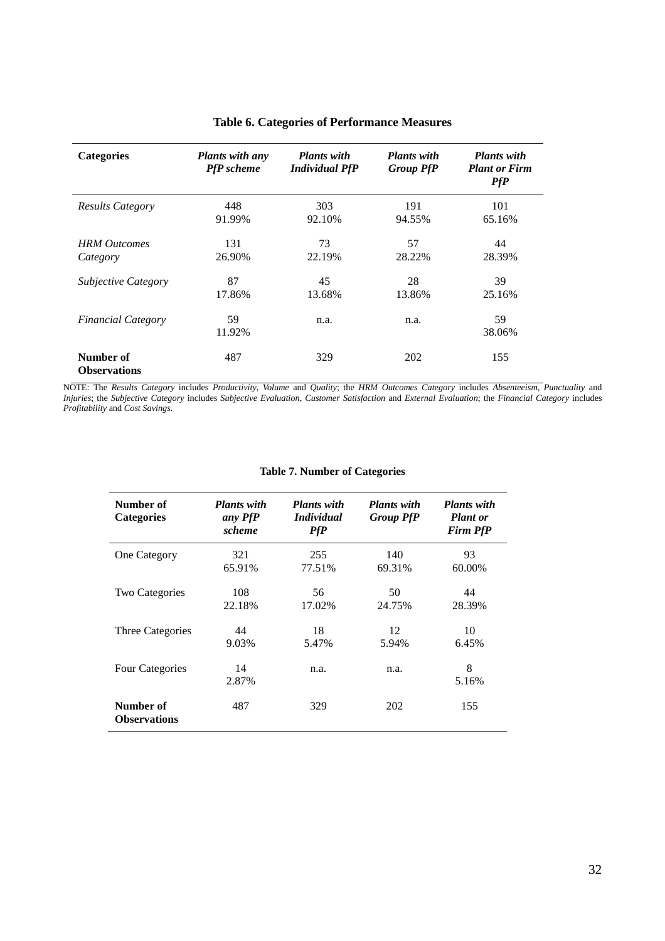| <b>Categories</b>                | <b>Plants with any</b><br><b>PfP</b> scheme | <b>Plants with</b><br><b>Individual PfP</b> | <b>Plants with</b><br><b>Group PfP</b> | <b>Plants with</b><br><b>Plant or Firm</b><br>PfP |
|----------------------------------|---------------------------------------------|---------------------------------------------|----------------------------------------|---------------------------------------------------|
| <b>Results Category</b>          | 448                                         | 303                                         | 191                                    | 101                                               |
|                                  | 91.99%                                      | 92.10%                                      | 94.55%                                 | 65.16%                                            |
| <b>HRM</b> Outcomes              | 131                                         | 73                                          | 57                                     | 44                                                |
| Category                         | 26.90%                                      | 22.19%                                      | 28.22%                                 | 28.39%                                            |
| <b>Subjective Category</b>       | 87                                          | 45                                          | 28                                     | 39                                                |
|                                  | 17.86%                                      | 13.68%                                      | 13.86%                                 | 25.16%                                            |
| <b>Financial Category</b>        | 59<br>11.92%                                | n.a.                                        | n.a.                                   | 59<br>38.06%                                      |
| Number of<br><b>Observations</b> | 487                                         | 329                                         | 202                                    | 155                                               |

#### **Table 6. Categories of Performance Measures**

NOTE: The *Results Category* includes *Productivity*, *Volume* and *Quality*; the *HRM Outcomes Category* includes *Absenteeism*, *Punctuality* and *Injuries*; the *Subjective Category* includes *Subjective Evaluation*, *Customer Satisfaction* and *External Evaluation*; the *Financial Category* includes *Profitability* and *Cost Savings*.

| Number of<br><b>Categories</b>   | <b>Plants</b> with<br>any PfP<br>scheme | <b>Plants</b> with<br><i>Individual</i><br>PfP | <b>Plants</b> with<br><b>Group PfP</b> | <b>Plants</b> with<br><b>Plant</b> or<br><b>Firm PfP</b> |
|----------------------------------|-----------------------------------------|------------------------------------------------|----------------------------------------|----------------------------------------------------------|
| <b>One Category</b>              | 321<br>65.91%                           | 255<br>77.51%                                  | 140<br>69.31%                          | 93<br>60.00%                                             |
| Two Categories                   | 108<br>22.18%                           | 56<br>17.02%                                   | 50<br>24.75%                           | 44<br>28.39%                                             |
| Three Categories                 | 44<br>9.03%                             | 18<br>5.47%                                    | 12<br>5.94%                            | 10<br>6.45%                                              |
| <b>Four Categories</b>           | 14<br>2.87%                             | n.a.                                           | n.a.                                   | 8<br>5.16%                                               |
| Number of<br><b>Observations</b> | 487                                     | 329                                            | 202                                    | 155                                                      |

#### **Table 7. Number of Categories**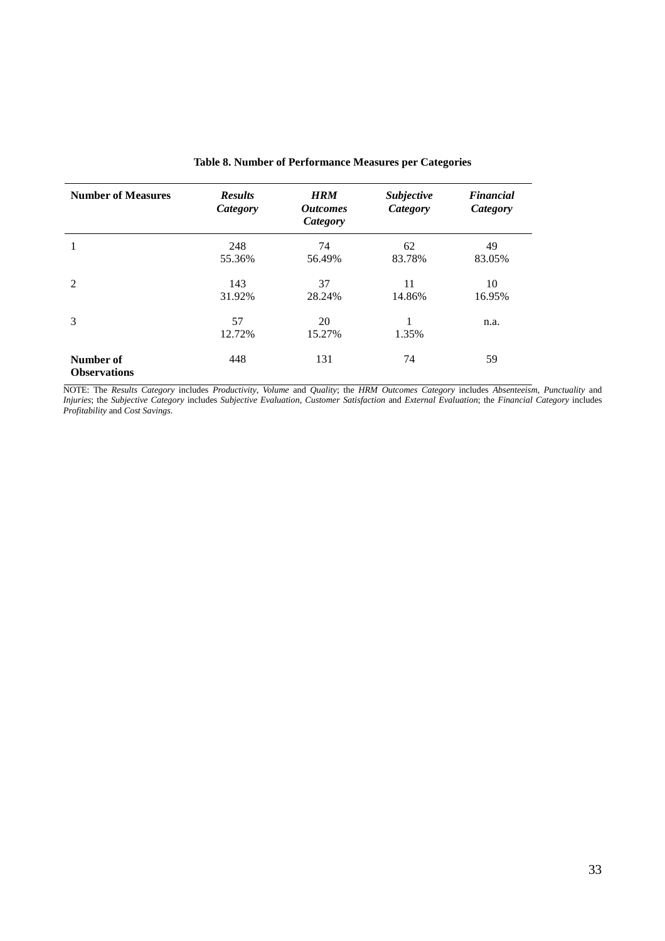| <b>Number of Measures</b>        | <b>Results</b><br>Category | <b>HRM</b><br><i><b>Outcomes</b></i><br>Category | Subjective<br>Category | <b>Financial</b><br>Category |
|----------------------------------|----------------------------|--------------------------------------------------|------------------------|------------------------------|
|                                  | 248<br>55.36%              | 74<br>56.49%                                     | 62<br>83.78%           | 49<br>83.05%                 |
| 2                                | 143<br>31.92%              | 37<br>28.24%                                     | 11<br>14.86%           | 10<br>16.95%                 |
| 3                                | 57<br>12.72%               | 20<br>15.27%                                     | 1.35%                  | n.a.                         |
| Number of<br><b>Observations</b> | 448                        | 131                                              | 74                     | 59                           |

#### **Table 8. Number of Performance Measures per Categories**

NOTE: The *Results Category* includes *Productivity*, *Volume* and *Quality*; the *HRM Outcomes Category* includes *Absenteeism*, *Punctuality* and *Injuries*; the *Subjective Category* includes *Subjective Evaluation*, *Customer Satisfaction* and *External Evaluation*; the *Financial Category* includes *Profitability* and *Cost Savings*.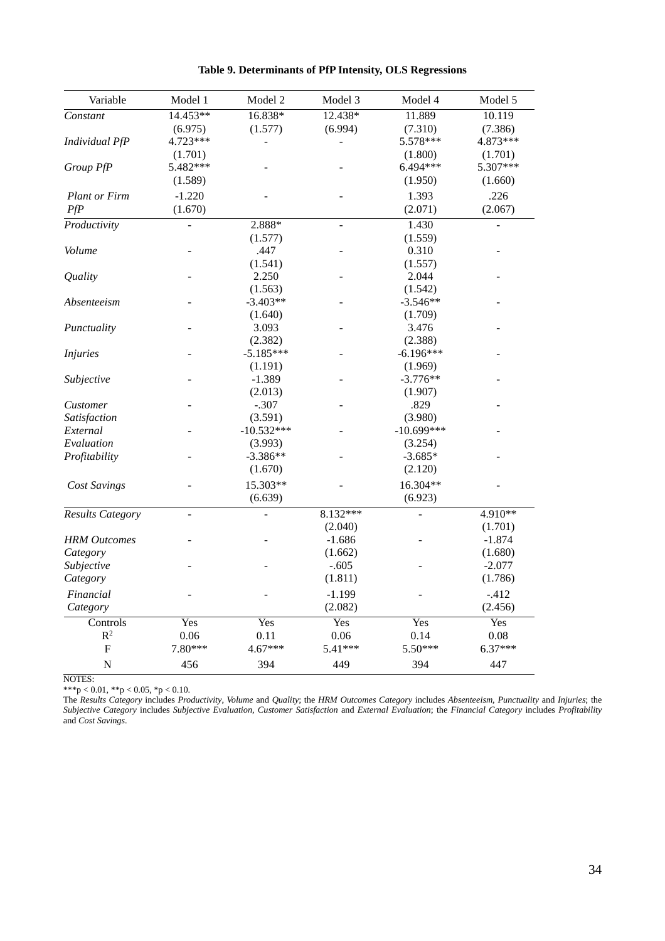| Variable             | Model 1  | Model 2      | Model 3                  | Model 4        | Model 5   |
|----------------------|----------|--------------|--------------------------|----------------|-----------|
| Constant             | 14.453** | 16.838*      | 12.438*                  | 11.889         | 10.119    |
|                      | (6.975)  | (1.577)      | (6.994)                  | (7.310)        | (7.386)   |
| Individual PfP       | 4.723*** | ÷,           | $\overline{\phantom{a}}$ | 5.578***       | 4.873***  |
|                      | (1.701)  |              |                          | (1.800)        | (1.701)   |
| Group PfP            | 5.482*** |              |                          | 6.494***       | 5.307***  |
|                      | (1.589)  |              |                          | (1.950)        | (1.660)   |
| <b>Plant or Firm</b> | $-1.220$ |              |                          | 1.393          | .226      |
| PfP                  | (1.670)  |              |                          | (2.071)        | (2.067)   |
| Productivity         |          | 2.888*       | $\blacksquare$           | 1.430          |           |
|                      |          | (1.577)      |                          | (1.559)        |           |
| Volume               |          | .447         |                          | 0.310          |           |
|                      |          | (1.541)      |                          | (1.557)        |           |
| Quality              |          | 2.250        |                          | 2.044          |           |
|                      |          | (1.563)      |                          | (1.542)        |           |
| Absenteeism          |          | $-3.403**$   |                          | $-3.546**$     |           |
|                      |          | (1.640)      |                          | (1.709)        |           |
| Punctuality          |          | 3.093        |                          | 3.476          |           |
|                      |          | (2.382)      |                          | (2.388)        |           |
| <b>Injuries</b>      |          | $-5.185***$  |                          | $-6.196***$    |           |
|                      |          | (1.191)      |                          | (1.969)        |           |
| Subjective           |          | $-1.389$     |                          | $-3.776**$     |           |
|                      |          | (2.013)      |                          | (1.907)        |           |
| Customer             |          | $-.307$      |                          | .829           |           |
| Satisfaction         |          | (3.591)      |                          | (3.980)        |           |
| External             |          | $-10.532***$ |                          | $-10.699***$   |           |
| Evaluation           |          | (3.993)      |                          | (3.254)        |           |
| Profitability        |          | $-3.386**$   |                          | $-3.685*$      |           |
|                      |          | (1.670)      |                          | (2.120)        |           |
| Cost Savings         |          | 15.303**     |                          | 16.304**       |           |
|                      |          | (6.639)      |                          | (6.923)        |           |
| Results Category     | $\Box$   |              | 8.132***                 | $\overline{a}$ | 4.910**   |
|                      |          |              | (2.040)                  |                | (1.701)   |
| <b>HRM</b> Outcomes  |          |              | $-1.686$                 |                | $-1.874$  |
| Category             |          |              | (1.662)                  |                | (1.680)   |
| Subjective           |          |              | $-.605$                  |                | $-2.077$  |
| Category             |          |              | (1.811)                  |                | (1.786)   |
| Financial            |          |              | $-1.199$                 |                | $-.412$   |
| Category             |          |              | (2.082)                  |                | (2.456)   |
| Controls             | Yes      | Yes          | Yes                      | Yes            | Yes       |
| $R^2$                | 0.06     | 0.11         | 0.06                     | 0.14           | 0.08      |
| F                    | 7.80***  | $4.67***$    | 5.41***                  | 5.50***        | $6.37***$ |
| $\mathbf N$          | 456      | 394          | 449                      | 394            | 447       |

**Table 9. Determinants of PfP Intensity, OLS Regressions**

NOTES:

\*\*\*p < 0.01, \*\*p < 0.05, \*p < 0.10.

The *Results Category* includes *Productivity*, *Volume* and *Quality*; the *HRM Outcomes Category* includes *Absenteeism*, *Punctuality* and *Injuries*; the *Subjective Category* includes *Subjective Evaluation*, *Customer Satisfaction* and *External Evaluation*; the *Financial Category* includes *Profitability* and *Cost Savings*.